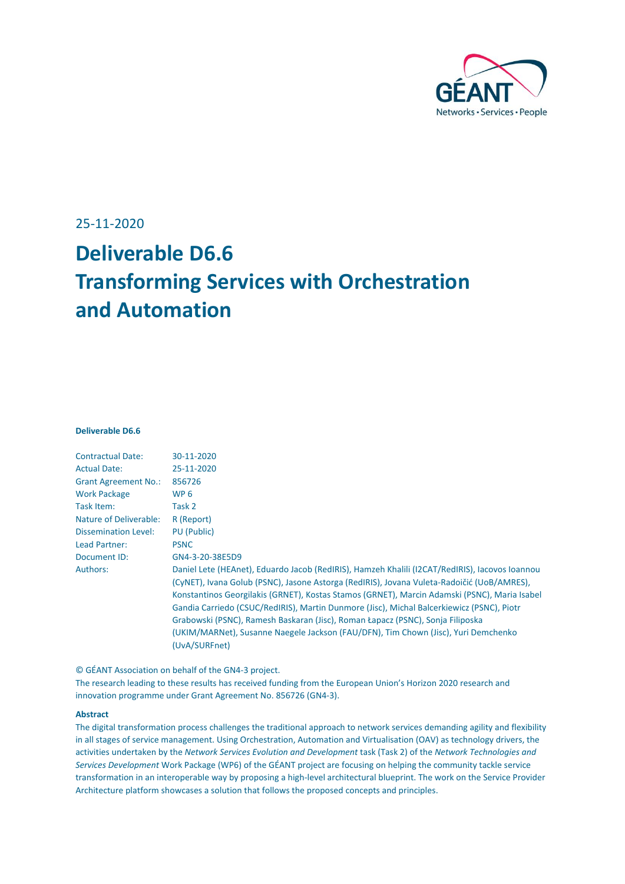

#### 25-11-2020

# **Deliverable D6.6 Transforming Services with Orchestration and Automation**

#### **Deliverable D6.6**

| <b>Contractual Date:</b>    | 30-11-2020                                                                                     |
|-----------------------------|------------------------------------------------------------------------------------------------|
| <b>Actual Date:</b>         | 25-11-2020                                                                                     |
| <b>Grant Agreement No.:</b> | 856726                                                                                         |
| <b>Work Package</b>         | WP 6                                                                                           |
| Task Item:                  | Task 2                                                                                         |
| Nature of Deliverable:      | R (Report)                                                                                     |
| <b>Dissemination Level:</b> | PU (Public)                                                                                    |
| Lead Partner:               | <b>PSNC</b>                                                                                    |
| Document ID:                | GN4-3-20-38E5D9                                                                                |
| Authors:                    | Daniel Lete (HEAnet), Eduardo Jacob (RedIRIS), Hamzeh Khalili (I2CAT/RedIRIS), Jacovos Ioannou |
|                             | (CyNET), Ivana Golub (PSNC), Jasone Astorga (RedIRIS), Jovana Vuleta-Radoičić (UoB/AMRES),     |
|                             | Konstantinos Georgilakis (GRNET), Kostas Stamos (GRNET), Marcin Adamski (PSNC), Maria Isabel   |
|                             | Gandia Carriedo (CSUC/RedIRIS), Martin Dunmore (Jisc), Michal Balcerkiewicz (PSNC), Piotr      |
|                             | Grabowski (PSNC), Ramesh Baskaran (Jisc), Roman Łapacz (PSNC), Sonja Filiposka                 |
|                             | (UKIM/MARNet), Susanne Naegele Jackson (FAU/DFN), Tim Chown (Jisc), Yuri Demchenko             |
|                             | (UvA/SURFnet)                                                                                  |
|                             |                                                                                                |

© GÉANT Association on behalf of the GN4-3 project.

The research leading to these results has received funding from the European Union's Horizon 2020 research and innovation programme under Grant Agreement No. 856726 (GN4-3).

#### **Abstract**

The digital transformation process challenges the traditional approach to network services demanding agility and flexibility in all stages of service management. Using Orchestration, Automation and Virtualisation (OAV) as technology drivers, the activities undertaken by the *Network Services Evolution and Development* task (Task 2) of the *Network Technologies and Services Development* Work Package (WP6) of the GÉANT project are focusing on helping the community tackle service transformation in an interoperable way by proposing a high-level architectural blueprint. The work on the Service Provider Architecture platform showcases a solution that follows the proposed concepts and principles.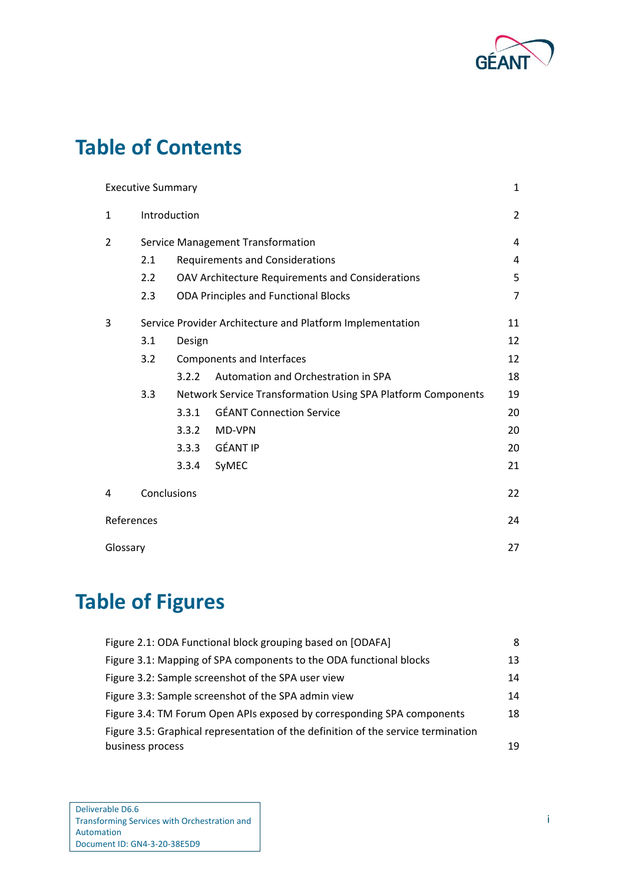

# **Table of Contents**

|              | <b>Executive Summary</b>          |                                                  |                                                              | 1              |  |  |
|--------------|-----------------------------------|--------------------------------------------------|--------------------------------------------------------------|----------------|--|--|
| $\mathbf{1}$ | Introduction                      |                                                  |                                                              | $\overline{2}$ |  |  |
| 2            | Service Management Transformation |                                                  |                                                              |                |  |  |
|              | 2.1                               | <b>Requirements and Considerations</b>           |                                                              |                |  |  |
|              | 2.2                               | OAV Architecture Requirements and Considerations |                                                              |                |  |  |
|              | 2.3                               |                                                  | <b>ODA Principles and Functional Blocks</b>                  | 7              |  |  |
| 3            |                                   |                                                  | Service Provider Architecture and Platform Implementation    | 11             |  |  |
|              | 3.1                               | Design                                           |                                                              | 12             |  |  |
|              | 3.2<br>Components and Interfaces  |                                                  |                                                              |                |  |  |
|              |                                   | 3.2.2                                            | Automation and Orchestration in SPA                          | 18             |  |  |
|              | 3.3                               |                                                  | Network Service Transformation Using SPA Platform Components | 19             |  |  |
|              |                                   | 3.3.1                                            | <b>GÉANT Connection Service</b>                              | 20             |  |  |
|              |                                   | 3.3.2                                            | MD-VPN                                                       | 20             |  |  |
|              |                                   | 3.3.3                                            | <b>GÉANT IP</b>                                              | 20             |  |  |
|              |                                   | 3.3.4                                            | SyMEC                                                        | 21             |  |  |
| 4            | Conclusions                       |                                                  |                                                              | 22             |  |  |
| References   |                                   |                                                  |                                                              | 24             |  |  |
| Glossary     |                                   |                                                  |                                                              | 27             |  |  |

# **Table of Figures**

| Figure 2.1: ODA Functional block grouping based on [ODAFA]                        | 8  |
|-----------------------------------------------------------------------------------|----|
| Figure 3.1: Mapping of SPA components to the ODA functional blocks                | 13 |
| Figure 3.2: Sample screenshot of the SPA user view                                | 14 |
| Figure 3.3: Sample screenshot of the SPA admin view                               | 14 |
| Figure 3.4: TM Forum Open APIs exposed by corresponding SPA components            | 18 |
| Figure 3.5: Graphical representation of the definition of the service termination |    |
| business process                                                                  | 19 |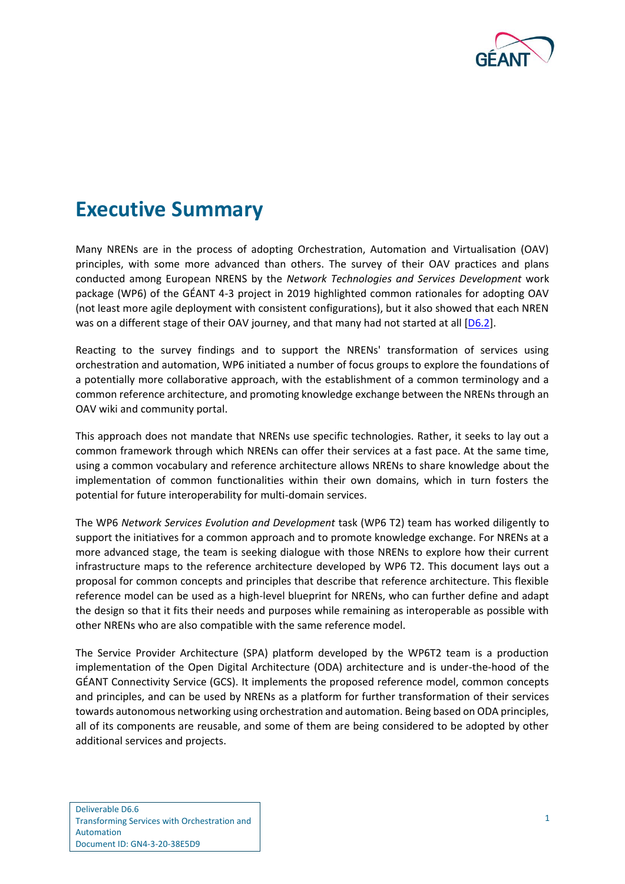

## <span id="page-2-0"></span>**Executive Summary**

Many NRENs are in the process of adopting Orchestration, Automation and Virtualisation (OAV) principles, with some more advanced than others. The survey of their OAV practices and plans conducted among European NRENS by the *Network Technologies and Services Development* work package (WP6) of the GÉANT 4-3 project in 2019 highlighted common rationales for adopting OAV (not least more agile deployment with consistent configurations), but it also showed that each NREN was on a different stage of their OAV journey, and that many had not started at all [\[D6.2\]](#page-25-1).

Reacting to the survey findings and to support the NRENs' transformation of services using orchestration and automation, WP6 initiated a number of focus groups to explore the foundations of a potentially more collaborative approach, with the establishment of a common terminology and a common reference architecture, and promoting knowledge exchange between the NRENs through an OAV wiki and community portal.

This approach does not mandate that NRENs use specific technologies. Rather, it seeks to lay out a common framework through which NRENs can offer their services at a fast pace. At the same time, using a common vocabulary and reference architecture allows NRENs to share knowledge about the implementation of common functionalities within their own domains, which in turn fosters the potential for future interoperability for multi-domain services.

The WP6 *Network Services Evolution and Development* task (WP6 T2) team has worked diligently to support the initiatives for a common approach and to promote knowledge exchange. For NRENs at a more advanced stage, the team is seeking dialogue with those NRENs to explore how their current infrastructure maps to the reference architecture developed by WP6 T2. This document lays out a proposal for common concepts and principles that describe that reference architecture. This flexible reference model can be used as a high-level blueprint for NRENs, who can further define and adapt the design so that it fits their needs and purposes while remaining as interoperable as possible with other NRENs who are also compatible with the same reference model.

The Service Provider Architecture (SPA) platform developed by the WP6T2 team is a production implementation of the Open Digital Architecture (ODA) architecture and is under-the-hood of the GÉANT Connectivity Service (GCS). It implements the proposed reference model, common concepts and principles, and can be used by NRENs as a platform for further transformation of their services towards autonomous networking using orchestration and automation. Being based on ODA principles, all of its components are reusable, and some of them are being considered to be adopted by other additional services and projects.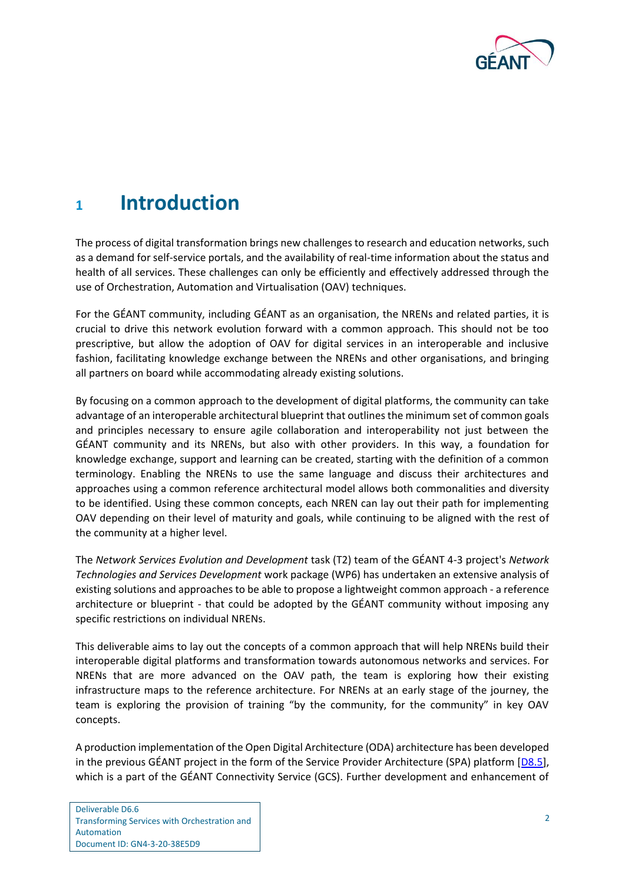

## <span id="page-3-0"></span>**<sup>1</sup> Introduction**

The process of digital transformation brings new challenges to research and education networks, such as a demand for self-service portals, and the availability of real-time information about the status and health of all services. These challenges can only be efficiently and effectively addressed through the use of Orchestration, Automation and Virtualisation (OAV) techniques.

For the GÉANT community, including GÉANT as an organisation, the NRENs and related parties, it is crucial to drive this network evolution forward with a common approach. This should not be too prescriptive, but allow the adoption of OAV for digital services in an interoperable and inclusive fashion, facilitating knowledge exchange between the NRENs and other organisations, and bringing all partners on board while accommodating already existing solutions.

By focusing on a common approach to the development of digital platforms, the community can take advantage of an interoperable architectural blueprint that outlines the minimum set of common goals and principles necessary to ensure agile collaboration and interoperability not just between the GÉANT community and its NRENs, but also with other providers. In this way, a foundation for knowledge exchange, support and learning can be created, starting with the definition of a common terminology. Enabling the NRENs to use the same language and discuss their architectures and approaches using a common reference architectural model allows both commonalities and diversity to be identified. Using these common concepts, each NREN can lay out their path for implementing OAV depending on their level of maturity and goals, while continuing to be aligned with the rest of the community at a higher level.

The *Network Services Evolution and Development* task (T2) team of the GÉANT 4-3 project's *Network Technologies and Services Development* work package (WP6) has undertaken an extensive analysis of existing solutions and approaches to be able to propose a lightweight common approach - a reference architecture or blueprint - that could be adopted by the GÉANT community without imposing any specific restrictions on individual NRENs.

This deliverable aims to lay out the concepts of a common approach that will help NRENs build their interoperable digital platforms and transformation towards autonomous networks and services. For NRENs that are more advanced on the OAV path, the team is exploring how their existing infrastructure maps to the reference architecture. For NRENs at an early stage of the journey, the team is exploring the provision of training "by the community, for the community" in key OAV concepts.

A production implementation of the Open Digital Architecture (ODA) architecture has been developed in the previous GÉANT project in the form of the Service Provider Architecture (SPA) platform  $[D8.5]$ , which is a part of the GÉANT Connectivity Service (GCS). Further development and enhancement of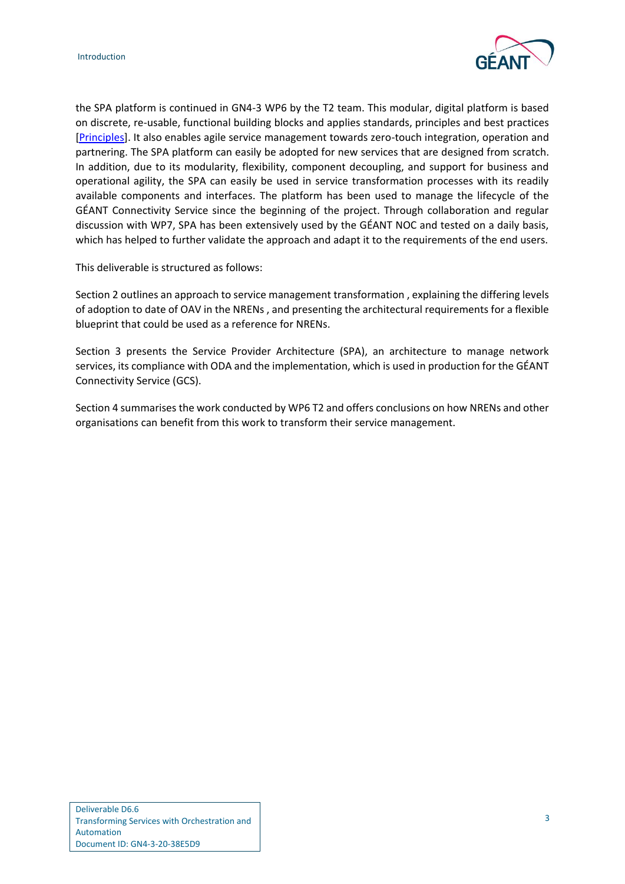

the SPA platform is continued in GN4-3 WP6 by the T2 team. This modular, digital platform is based on discrete, re-usable, functional building blocks and applies standards, principles and best practices [\[Principles\]](#page-26-0). It also enables agile service management towards zero-touch integration, operation and partnering. The SPA platform can easily be adopted for new services that are designed from scratch. In addition, due to its modularity, flexibility, component decoupling, and support for business and operational agility, the SPA can easily be used in service transformation processes with its readily available components and interfaces. The platform has been used to manage the lifecycle of the GÉANT Connectivity Service since the beginning of the project. Through collaboration and regular discussion with WP7, SPA has been extensively used by the GÉANT NOC and tested on a daily basis, which has helped to further validate the approach and adapt it to the requirements of the end users.

This deliverable is structured as follows:

Section 2 outlines an approach to service management transformation , explaining the differing levels of adoption to date of OAV in the NRENs , and presenting the architectural requirements for a flexible blueprint that could be used as a reference for NRENs.

Section 3 presents the Service Provider Architecture (SPA), an architecture to manage network services, its compliance with ODA and the implementation, which is used in production for the GÉANT Connectivity Service (GCS).

Section 4 summarises the work conducted by WP6 T2 and offers conclusions on how NRENs and other organisations can benefit from this work to transform their service management.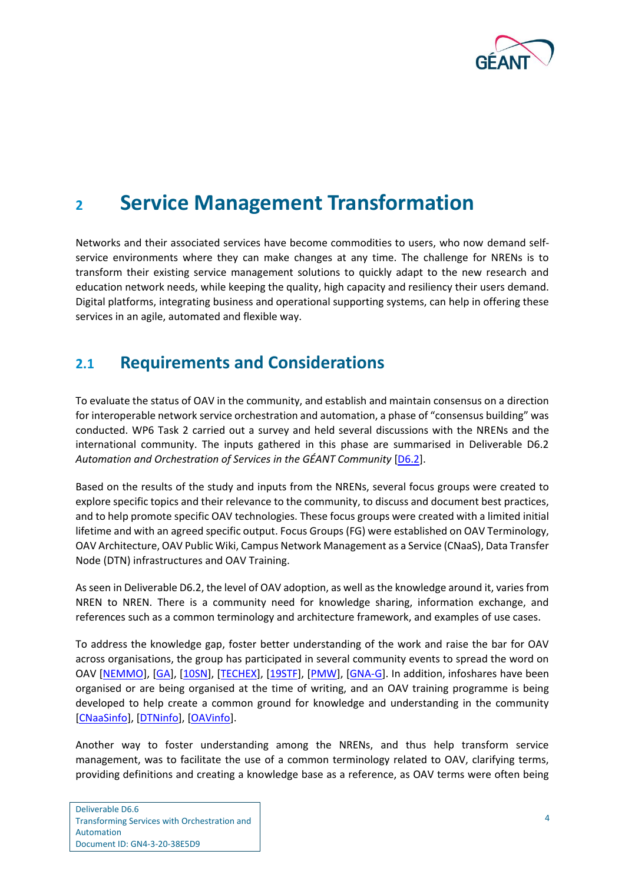

## <span id="page-5-0"></span>**<sup>2</sup> Service Management Transformation**

Networks and their associated services have become commodities to users, who now demand selfservice environments where they can make changes at any time. The challenge for NRENs is to transform their existing service management solutions to quickly adapt to the new research and education network needs, while keeping the quality, high capacity and resiliency their users demand. Digital platforms, integrating business and operational supporting systems, can help in offering these services in an agile, automated and flexible way.

## <span id="page-5-1"></span>**2.1 Requirements and Considerations**

To evaluate the status of OAV in the community, and establish and maintain consensus on a direction for interoperable network service orchestration and automation, a phase of "consensus building" was conducted. WP6 Task 2 carried out a survey and held several discussions with the NRENs and the international community. The inputs gathered in this phase are summarised in Deliverable D6.2 *Automation and Orchestration of Services in the GÉANT Community* [\[D6.2\]](#page-25-1).

Based on the results of the study and inputs from the NRENs, several focus groups were created to explore specific topics and their relevance to the community, to discuss and document best practices, and to help promote specific OAV technologies. These focus groups were created with a limited initial lifetime and with an agreed specific output. Focus Groups (FG) were established on OAV Terminology, OAV Architecture, OAV Public Wiki, Campus Network Management as a Service (CNaaS), Data Transfer Node (DTN) infrastructures and OAV Training.

As seen in Deliverable D6.2, the level of OAV adoption, as well as the knowledge around it, varies from NREN to NREN. There is a community need for knowledge sharing, information exchange, and references such as a common terminology and architecture framework, and examples of use cases.

To address the knowledge gap, foster better understanding of the work and raise the bar for OAV across organisations, the group has participated in several community events to spread the word on OAV [\[NEMMO\]](#page-26-1), [\[GA\]](#page-25-3), [\[10SN\]](#page-25-4), [\[TECHEX\]](#page-26-2), [\[19STF\]](#page-25-5), [\[PMW\]](#page-26-3), [\[GNA-G\]](#page-25-6). In addition, infoshares have been organised or are being organised at the time of writing, and an OAV training programme is being developed to help create a common ground for knowledge and understanding in the community [\[CNaaSinfo\]](#page-25-7), [\[DTNinfo\]](#page-25-8), [\[OAVinfo\]](#page-26-4).

Another way to foster understanding among the NRENs, and thus help transform service management, was to facilitate the use of a common terminology related to OAV, clarifying terms, providing definitions and creating a knowledge base as a reference, as OAV terms were often being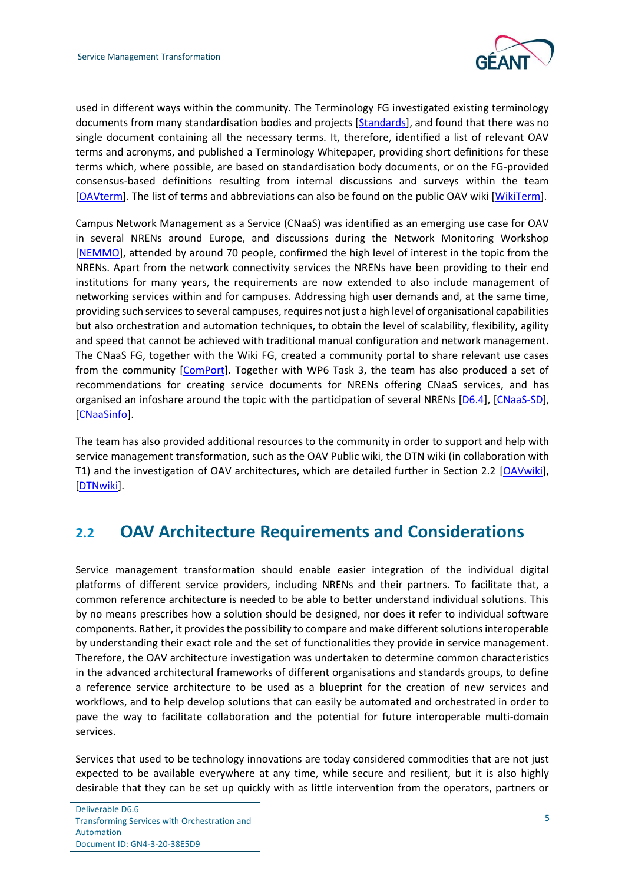

used in different ways within the community. The Terminology FG investigated existing terminology documents from many standardisation bodies and projects [\[Standards\]](#page-26-5), and found that there was no single document containing all the necessary terms. It, therefore, identified a list of relevant OAV terms and acronyms, and published a Terminology Whitepaper, providing short definitions for these terms which, where possible, are based on standardisation body documents, or on the FG-provided consensus-based definitions resulting from internal discussions and surveys within the team [\[OAVterm\]](#page-26-6). The list of terms and abbreviations can also be found on the public OAV wiki [\[WikiTerm\]](#page-27-0).

Campus Network Management as a Service (CNaaS) was identified as an emerging use case for OAV in several NRENs around Europe, and discussions during the Network Monitoring Workshop [\[NEMMO\]](#page-26-1), attended by around 70 people, confirmed the high level of interest in the topic from the NRENs. Apart from the network connectivity services the NRENs have been providing to their end institutions for many years, the requirements are now extended to also include management of networking services within and for campuses. Addressing high user demands and, at the same time, providing such services to several campuses, requires not just a high level of organisational capabilities but also orchestration and automation techniques, to obtain the level of scalability, flexibility, agility and speed that cannot be achieved with traditional manual configuration and network management. The CNaaS FG, together with the Wiki FG, created a community portal to share relevant use cases from the community [\[ComPort\]](#page-25-9). Together with WP6 Task 3, the team has also produced a set of recommendations for creating service documents for NRENs offering CNaaS services, and has organised an infoshare around the topic with the participation of several NRENs [\[D6.4\]](#page-25-10), [\[CNaaS-SD\]](#page-25-11), [\[CNaaSinfo\]](#page-25-7).

The team has also provided additional resources to the community in order to support and help with service management transformation, such as the OAV Public wiki, the DTN wiki (in collaboration with T1) and the investigation of OAV architectures, which are detailed further in Section 2.2 [\[OAVwiki\]](#page-26-7), [\[DTNwiki\]](#page-25-12).

## <span id="page-6-0"></span>**2.2 OAV Architecture Requirements and Considerations**

Service management transformation should enable easier integration of the individual digital platforms of different service providers, including NRENs and their partners. To facilitate that, a common reference architecture is needed to be able to better understand individual solutions. This by no means prescribes how a solution should be designed, nor does it refer to individual software components. Rather, it provides the possibility to compare and make different solutions interoperable by understanding their exact role and the set of functionalities they provide in service management. Therefore, the OAV architecture investigation was undertaken to determine common characteristics in the advanced architectural frameworks of different organisations and standards groups, to define a reference service architecture to be used as a blueprint for the creation of new services and workflows, and to help develop solutions that can easily be automated and orchestrated in order to pave the way to facilitate collaboration and the potential for future interoperable multi-domain services.

Services that used to be technology innovations are today considered commodities that are not just expected to be available everywhere at any time, while secure and resilient, but it is also highly desirable that they can be set up quickly with as little intervention from the operators, partners or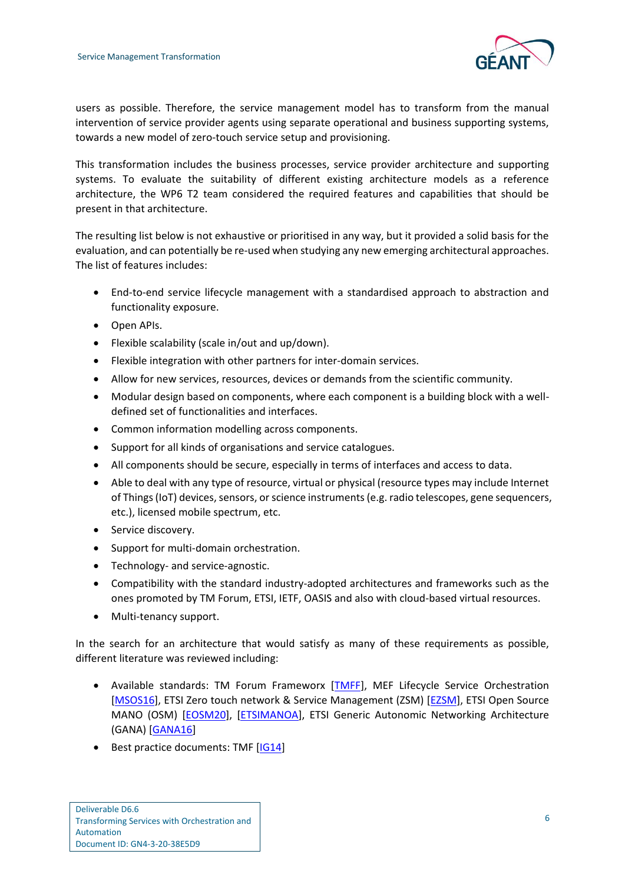

users as possible. Therefore, the service management model has to transform from the manual intervention of service provider agents using separate operational and business supporting systems, towards a new model of zero-touch service setup and provisioning.

This transformation includes the business processes, service provider architecture and supporting systems. To evaluate the suitability of different existing architecture models as a reference architecture, the WP6 T2 team considered the required features and capabilities that should be present in that architecture.

The resulting list below is not exhaustive or prioritised in any way, but it provided a solid basis for the evaluation, and can potentially be re-used when studying any new emerging architectural approaches. The list of features includes:

- End-to-end service lifecycle management with a standardised approach to abstraction and functionality exposure.
- Open APIs.
- Flexible scalability (scale in/out and up/down).
- Flexible integration with other partners for inter-domain services.
- Allow for new services, resources, devices or demands from the scientific community.
- Modular design based on components, where each component is a building block with a welldefined set of functionalities and interfaces.
- Common information modelling across components.
- Support for all kinds of organisations and service catalogues.
- All components should be secure, especially in terms of interfaces and access to data.
- Able to deal with any type of resource, virtual or physical (resource types may include Internet of Things (IoT) devices, sensors, or science instruments (e.g. radio telescopes, gene sequencers, etc.), licensed mobile spectrum, etc.
- Service discovery.
- Support for multi-domain orchestration.
- Technology- and service-agnostic.
- Compatibility with the standard industry-adopted architectures and frameworks such as the ones promoted by TM Forum, ETSI, IETF, OASIS and also with cloud-based virtual resources.
- Multi-tenancy support.

In the search for an architecture that would satisfy as many of these requirements as possible, different literature was reviewed including:

- Available standards: TM Forum Frameworx [\[TMFF\]](#page-27-1), MEF Lifecycle Service Orchestration [\[MSOS16\]](#page-26-8), ETSI Zero touch network & Service Management (ZSM) [\[EZSM\]](#page-25-13), ETSI Open Source MANO (OSM) [\[EOSM20\]](#page-25-14), [\[ETSIMANOA\]](#page-25-15), ETSI Generic Autonomic Networking Architecture (GANA) [\[GANA16\]](#page-25-16)
- Best practice documents: TMF [\[IG14\]](#page-25-17)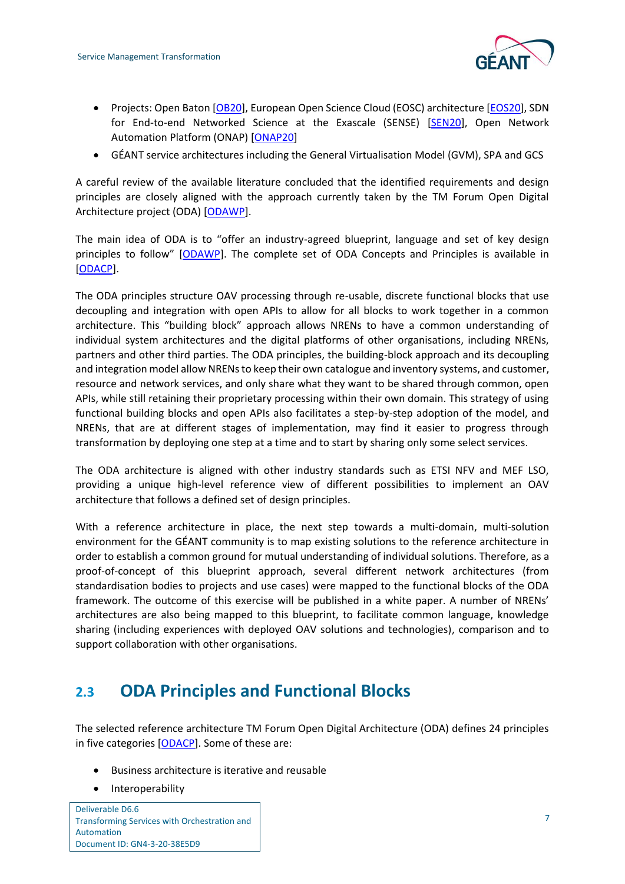

- Projects: Open Baton [\[OB20\]](#page-26-9), European Open Science Cloud (EOSC) architecture [\[EOS20\]](#page-25-18), SDN for End-to-end Networked Science at the Exascale (SENSE) [\[SEN20\]](#page-26-10), Open Network Automation Platform (ONAP) [\[ONAP20\]](#page-26-11)
- GÉANT service architectures including the General Virtualisation Model (GVM), SPA and GCS

A careful review of the available literature concluded that the identified requirements and design principles are closely aligned with the approach currently taken by the TM Forum Open Digital Architecture project (ODA) [\[ODAWP\]](#page-26-12).

The main idea of ODA is to "offer an industry-agreed blueprint, language and set of key design principles to follow" [[ODAWP\]](#page-26-12). The complete set of ODA Concepts and Principles is available in [\[ODACP\]](#page-26-13).

The ODA principles structure OAV processing through re-usable, discrete functional blocks that use decoupling and integration with open APIs to allow for all blocks to work together in a common architecture. This "building block" approach allows NRENs to have a common understanding of individual system architectures and the digital platforms of other organisations, including NRENs, partners and other third parties. The ODA principles, the building-block approach and its decoupling and integration model allow NRENs to keep their own catalogue and inventory systems, and customer, resource and network services, and only share what they want to be shared through common, open APIs, while still retaining their proprietary processing within their own domain. This strategy of using functional building blocks and open APIs also facilitates a step-by-step adoption of the model, and NRENs, that are at different stages of implementation, may find it easier to progress through transformation by deploying one step at a time and to start by sharing only some select services.

The ODA architecture is aligned with other industry standards such as ETSI NFV and MEF LSO, providing a unique high-level reference view of different possibilities to implement an OAV architecture that follows a defined set of design principles.

With a reference architecture in place, the next step towards a multi-domain, multi-solution environment for the GÉANT community is to map existing solutions to the reference architecture in order to establish a common ground for mutual understanding of individual solutions. Therefore, as a proof-of-concept of this blueprint approach, several different network architectures (from standardisation bodies to projects and use cases) were mapped to the functional blocks of the ODA framework. The outcome of this exercise will be published in a white paper. A number of NRENs' architectures are also being mapped to this blueprint, to facilitate common language, knowledge sharing (including experiences with deployed OAV solutions and technologies), comparison and to support collaboration with other organisations.

## <span id="page-8-0"></span>**2.3 ODA Principles and Functional Blocks**

The selected reference architecture TM Forum Open Digital Architecture (ODA) defines 24 principles in five categories [\[ODACP\]](#page-26-13). Some of these are:

- Business architecture is iterative and reusable
- Interoperability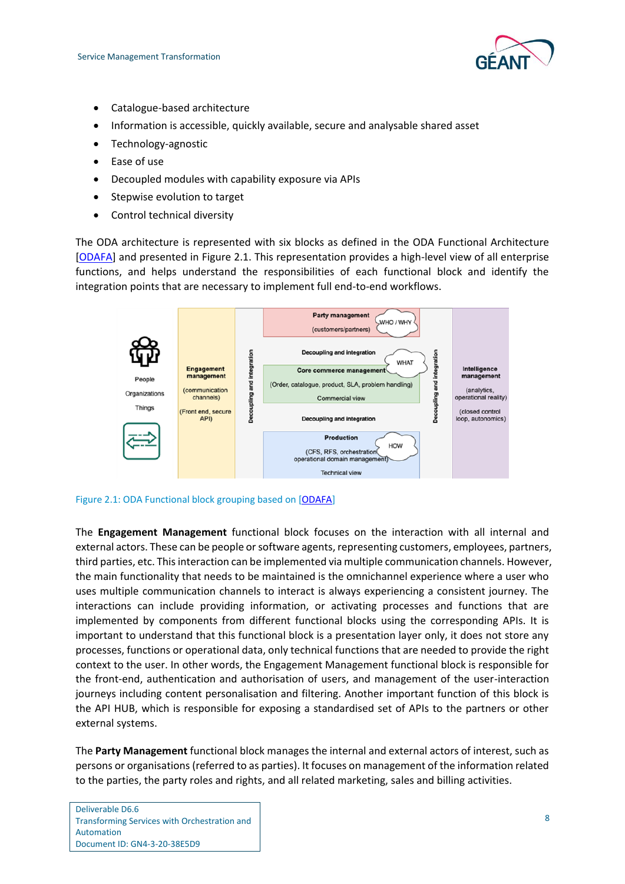

- Catalogue-based architecture
- Information is accessible, quickly available, secure and analysable shared asset
- Technology-agnostic
- Ease of use
- Decoupled modules with capability exposure via APIs
- Stepwise evolution to target
- Control technical diversity

The ODA architecture is represented with six blocks as defined in the ODA Functional Architecture [\[ODAFA\]](#page-26-14) and presented in [Figure 2.1.](#page-9-0) This representation provides a high-level view of all enterprise functions, and helps understand the responsibilities of each functional block and identify the integration points that are necessary to implement full end-to-end workflows.



#### <span id="page-9-0"></span>Figure 2.1: ODA Functional block grouping based on [\[ODAFA\]](#page-26-14)

The **Engagement Management** functional block focuses on the interaction with all internal and external actors. These can be people or software agents, representing customers, employees, partners, third parties, etc. This interaction can be implemented via multiple communication channels. However, the main functionality that needs to be maintained is the omnichannel experience where a user who uses multiple communication channels to interact is always experiencing a consistent journey. The interactions can include providing information, or activating processes and functions that are implemented by components from different functional blocks using the corresponding APIs. It is important to understand that this functional block is a presentation layer only, it does not store any processes, functions or operational data, only technical functions that are needed to provide the right context to the user. In other words, the Engagement Management functional block is responsible for the front-end, authentication and authorisation of users, and management of the user-interaction journeys including content personalisation and filtering. Another important function of this block is the API HUB, which is responsible for exposing a standardised set of APIs to the partners or other external systems.

The **Party Management** functional block manages the internal and external actors of interest, such as persons or organisations (referred to as parties). It focuses on management of the information related to the parties, the party roles and rights, and all related marketing, sales and billing activities.

Deliverable D6.6 Transforming Services with Orchestration and Automation Document ID: GN4-3-20-38E5D9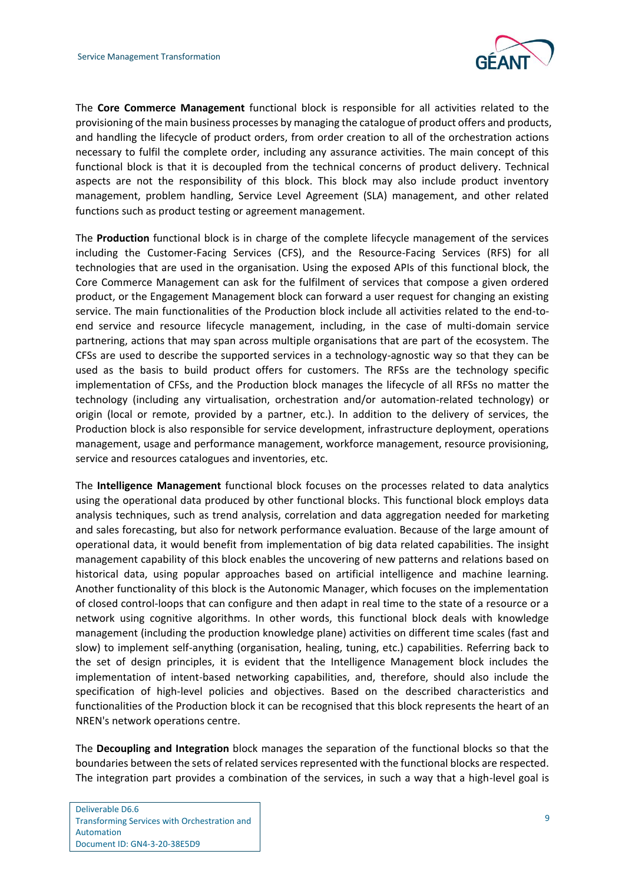

The **Core Commerce Management** functional block is responsible for all activities related to the provisioning of the main business processes by managing the catalogue of product offers and products, and handling the lifecycle of product orders, from order creation to all of the orchestration actions necessary to fulfil the complete order, including any assurance activities. The main concept of this functional block is that it is decoupled from the technical concerns of product delivery. Technical aspects are not the responsibility of this block. This block may also include product inventory management, problem handling, Service Level Agreement (SLA) management, and other related functions such as product testing or agreement management.

The **Production** functional block is in charge of the complete lifecycle management of the services including the Customer-Facing Services (CFS), and the Resource-Facing Services (RFS) for all technologies that are used in the organisation. Using the exposed APIs of this functional block, the Core Commerce Management can ask for the fulfilment of services that compose a given ordered product, or the Engagement Management block can forward a user request for changing an existing service. The main functionalities of the Production block include all activities related to the end-toend service and resource lifecycle management, including, in the case of multi-domain service partnering, actions that may span across multiple organisations that are part of the ecosystem. The CFSs are used to describe the supported services in a technology-agnostic way so that they can be used as the basis to build product offers for customers. The RFSs are the technology specific implementation of CFSs, and the Production block manages the lifecycle of all RFSs no matter the technology (including any virtualisation, orchestration and/or automation-related technology) or origin (local or remote, provided by a partner, etc.). In addition to the delivery of services, the Production block is also responsible for service development, infrastructure deployment, operations management, usage and performance management, workforce management, resource provisioning, service and resources catalogues and inventories, etc.

The **Intelligence Management** functional block focuses on the processes related to data analytics using the operational data produced by other functional blocks. This functional block employs data analysis techniques, such as trend analysis, correlation and data aggregation needed for marketing and sales forecasting, but also for network performance evaluation. Because of the large amount of operational data, it would benefit from implementation of big data related capabilities. The insight management capability of this block enables the uncovering of new patterns and relations based on historical data, using popular approaches based on artificial intelligence and machine learning. Another functionality of this block is the Autonomic Manager, which focuses on the implementation of closed control-loops that can configure and then adapt in real time to the state of a resource or a network using cognitive algorithms. In other words, this functional block deals with knowledge management (including the production knowledge plane) activities on different time scales (fast and slow) to implement self-anything (organisation, healing, tuning, etc.) capabilities. Referring back to the set of design principles, it is evident that the Intelligence Management block includes the implementation of intent-based networking capabilities, and, therefore, should also include the specification of high-level policies and objectives. Based on the described characteristics and functionalities of the Production block it can be recognised that this block represents the heart of an NREN's network operations centre.

The **Decoupling and Integration** block manages the separation of the functional blocks so that the boundaries between the sets of related services represented with the functional blocks are respected. The integration part provides a combination of the services, in such a way that a high-level goal is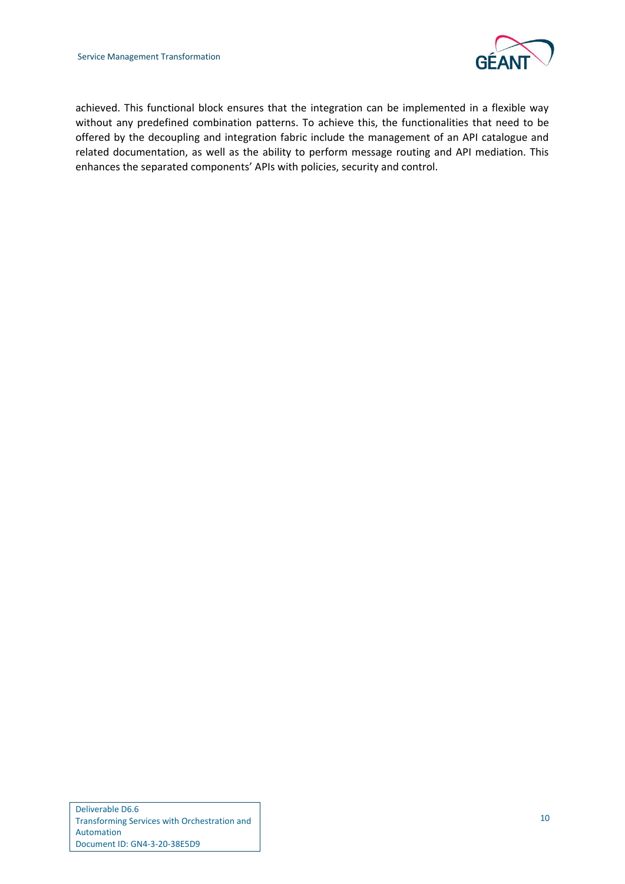

achieved. This functional block ensures that the integration can be implemented in a flexible way without any predefined combination patterns. To achieve this, the functionalities that need to be offered by the decoupling and integration fabric include the management of an API catalogue and related documentation, as well as the ability to perform message routing and API mediation. This enhances the separated components' APIs with policies, security and control.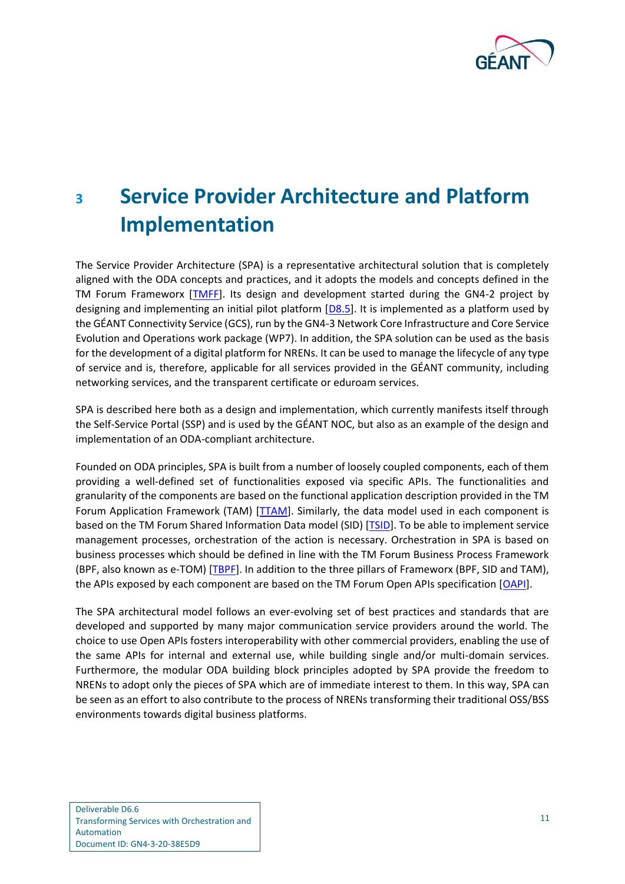

# <span id="page-12-0"></span>**<sup>3</sup> Service Provider Architecture and Platform Implementation**

The Service Provider Architecture (SPA) is a representative architectural solution that is completely aligned with the ODA concepts and practices, and it adopts the models and concepts defined in the TM Forum Frameworx [\[TMFF\]](#page-27-1). Its design and development started during the GN4-2 project by designing and implementing an initial pilot platform [\[D8.5\]](#page-25-2). It is implemented as a platform used by the GÉANT Connectivity Service (GCS), run by the GN4-3 Network Core Infrastructure and Core Service Evolution and Operations work package (WP7). In addition, the SPA solution can be used as the basis for the development of a digital platform for NRENs. It can be used to manage the lifecycle of any type of service and is, therefore, applicable for all services provided in the GÉANT community, including networking services, and the transparent certificate or eduroam services.

SPA is described here both as a design and implementation, which currently manifests itself through the Self-Service Portal (SSP) and is used by the GÉANT NOC, but also as an example of the design and implementation of an ODA-compliant architecture.

Founded on ODA principles, SPA is built from a number of loosely coupled components, each of them providing a well-defined set of functionalities exposed via specific APIs. The functionalities and granularity of the components are based on the functional application description provided in the TM Forum Application Framework (TAM) [\[TTAM\]](#page-27-2). Similarly, the data model used in each component is based on the TM Forum Shared Information Data model (SID) [\[TSID\]](#page-27-3). To be able to implement service management processes, orchestration of the action is necessary. Orchestration in SPA is based on business processes which should be defined in line with the TM Forum Business Process Framework (BPF, also known as e-TOM) [\[TBPF\]](#page-26-15). In addition to the three pillars of Frameworx (BPF, SID and TAM), the APIs exposed by each component are based on the TM Forum Open APIs specification [\[OAPI\]](#page-26-16).

The SPA architectural model follows an ever-evolving set of best practices and standards that are developed and supported by many major communication service providers around the world. The choice to use Open APIs fosters interoperability with other commercial providers, enabling the use of the same APIs for internal and external use, while building single and/or multi-domain services. Furthermore, the modular ODA building block principles adopted by SPA provide the freedom to NRENs to adopt only the pieces of SPA which are of immediate interest to them. In this way, SPA can be seen as an effort to also contribute to the process of NRENs transforming their traditional OSS/BSS environments towards digital business platforms.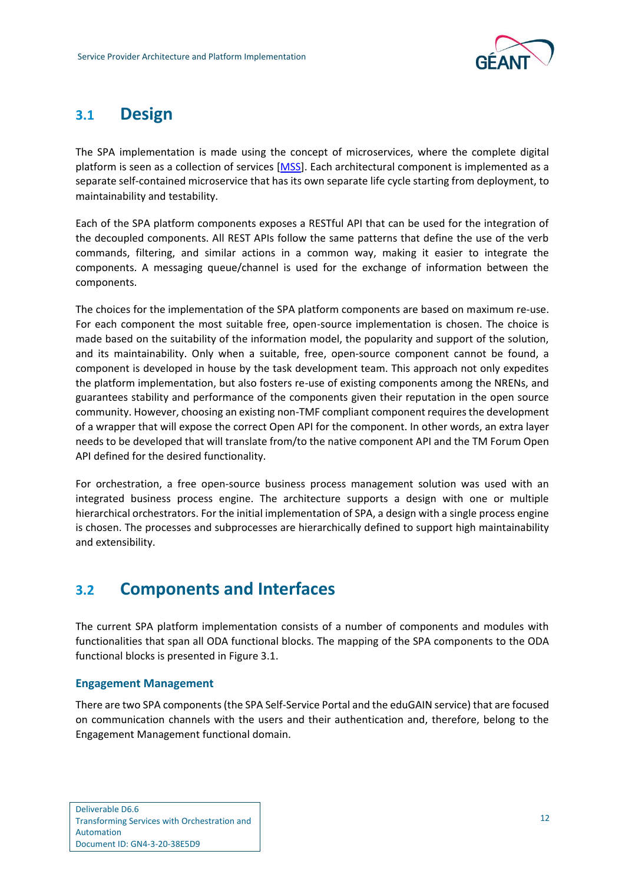

## <span id="page-13-0"></span>**3.1 Design**

The SPA implementation is made using the concept of microservices, where the complete digital platform is seen as a collection of services [\[MSS\]](#page-26-17). Each architectural component is implemented as a separate self-contained microservice that has its own separate life cycle starting from deployment, to maintainability and testability.

Each of the SPA platform components exposes a RESTful API that can be used for the integration of the decoupled components. All REST APIs follow the same patterns that define the use of the verb commands, filtering, and similar actions in a common way, making it easier to integrate the components. A messaging queue/channel is used for the exchange of information between the components.

The choices for the implementation of the SPA platform components are based on maximum re-use. For each component the most suitable free, open-source implementation is chosen. The choice is made based on the suitability of the information model, the popularity and support of the solution, and its maintainability. Only when a suitable, free, open-source component cannot be found, a component is developed in house by the task development team. This approach not only expedites the platform implementation, but also fosters re-use of existing components among the NRENs, and guarantees stability and performance of the components given their reputation in the open source community. However, choosing an existing non-TMF compliant component requires the development of a wrapper that will expose the correct Open API for the component. In other words, an extra layer needs to be developed that will translate from/to the native component API and the TM Forum Open API defined for the desired functionality.

For orchestration, a free open-source business process management solution was used with an integrated business process engine. The architecture supports a design with one or multiple hierarchical orchestrators. For the initial implementation of SPA, a design with a single process engine is chosen. The processes and subprocesses are hierarchically defined to support high maintainability and extensibility.

## <span id="page-13-1"></span>**3.2 Components and Interfaces**

The current SPA platform implementation consists of a number of components and modules with functionalities that span all ODA functional blocks. The mapping of the SPA components to the ODA functional blocks is presented in [Figure 3.1.](#page-14-0)

#### **Engagement Management**

There are two SPA components (the SPA Self-Service Portal and the eduGAIN service) that are focused on communication channels with the users and their authentication and, therefore, belong to the Engagement Management functional domain.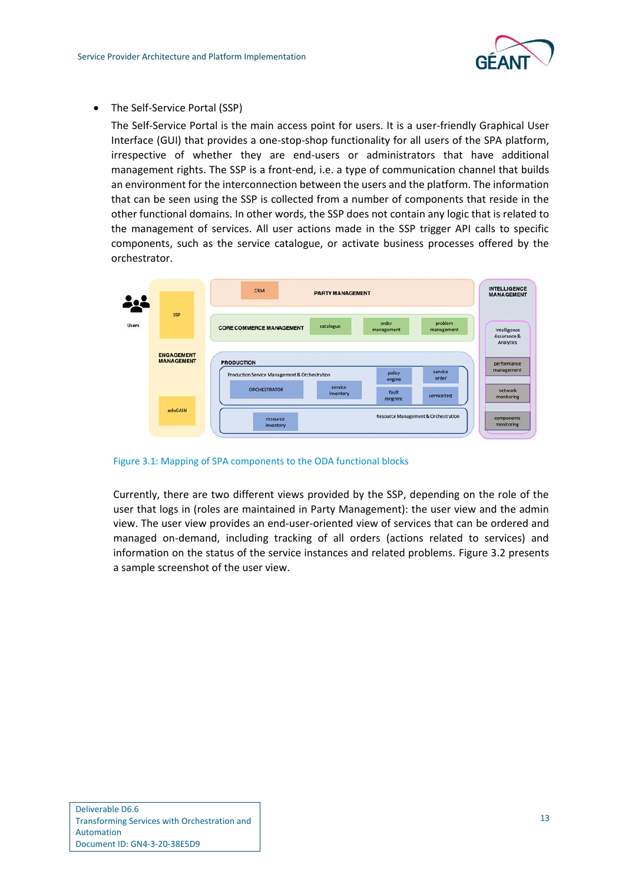

• The Self-Service Portal (SSP)

The Self-Service Portal is the main access point for users. It is a user-friendly Graphical User Interface (GUI) that provides a one-stop-shop functionality for all users of the SPA platform, irrespective of whether they are end-users or administrators that have additional management rights. The SSP is a front-end, i.e. a type of communication channel that builds an environment for the interconnection between the users and the platform. The information that can be seen using the SSP is collected from a number of components that reside in the other functional domains. In other words, the SSP does not contain any logic that is related to the management of services. All user actions made in the SSP trigger API calls to specific components, such as the service catalogue, or activate business processes offered by the orchestrator.



<span id="page-14-0"></span>Figure 3.1: Mapping of SPA components to the ODA functional blocks

Currently, there are two different views provided by the SSP, depending on the role of the user that logs in (roles are maintained in Party Management): the user view and the admin view. The user view provides an end-user-oriented view of services that can be ordered and managed on-demand, including tracking of all orders (actions related to services) and information on the status of the service instances and related problems. [Figure 3.2](#page-15-0) presents a sample screenshot of the user view.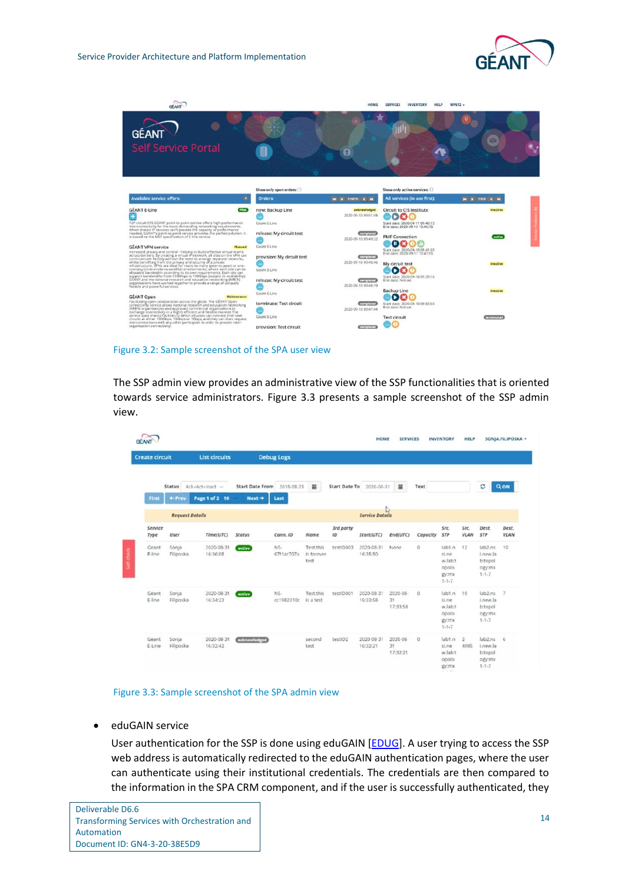



Figure 3.2: Sample screenshot of the SPA user view

<span id="page-15-0"></span>The SSP admin view provides an administrative view of the SSP functionalities that is oriented towards service administrators. [Figure 3.3](#page-15-1) presents a sample screenshot of the SSP admin view.

| <b>Create circuit</b> |                        | <b>List circuits</b>   |                        | <b>Debug Logs</b> |                                 |                      |                        |                            |            |                                                             |              |                                                            |                |
|-----------------------|------------------------|------------------------|------------------------|-------------------|---------------------------------|----------------------|------------------------|----------------------------|------------|-------------------------------------------------------------|--------------|------------------------------------------------------------|----------------|
|                       | <b>Status</b>          | Ack+Act+Inact v        | <b>Start Date From</b> | 2018-08-23        | ×                               | <b>Start Date To</b> | 2020-08-31             | 兰                          | Text       |                                                             |              | ø                                                          | QON            |
| First                 | + Prev                 | Page 1 of 2 10         | $Next \rightarrow$     | Last              |                                 |                      |                        |                            |            |                                                             |              |                                                            |                |
|                       | <b>Request Details</b> |                        |                        |                   |                                 |                      | <b>Service Details</b> |                            |            |                                                             |              |                                                            |                |
| Service<br>Type       | User                   | Time(UTC)              | Status                 | Conn. ID          | Name                            | 3rd party<br>ID      | Start(UTC)             | End(UTC)                   | Capacity   | Src.<br><b>STP</b>                                          | src<br>VLAN  | Dest.<br>STP                                               | Dest.<br>VLAN  |
| Geant<br>F-line       | Sonja<br>Filiposka     | 2020-08-31<br>16:36:08 | <i>active</i>          | NS-<br>67f1ac707a | Test.this<br>is forever<br>test | testID003            | 2020-08-31<br>16:35:50 | None                       | $\circ$    | lab1.n<br>si.ne<br>w.lab:t<br>opolo<br>gy:mx<br>$1 - 1 - 7$ | 12           | lab2.ns<br>Lnew.la<br>b:topol<br>ogy:mx<br>$1 - 1 - 7$     | 10             |
| Geant<br>E-line       | Sonja<br>Filiposka     | 2020-08-31<br>16:34:23 | active                 | NS-<br>cc1982310c | Test.this<br>is a test          | testiD001            | 2020-08-31<br>16:33:58 | 2020-08-<br>31<br>17:33:58 | $^{\circ}$ | lab1.n<br>si.ne<br>w.lab:t<br>opolo<br>gy:mx<br>$1 - 1 - 7$ | 10           | lab2.ns<br>Lnew.la<br>b:topol<br>ogy:mx<br>$1 - 1 - 7$     | $\overline{7}$ |
| Geant<br>E-Line       | Sonja<br>Filiposka     | 2020-08-31<br>16:32:42 | acknowledged           |                   | second<br>test                  | testID2              | 2020-08-31<br>16:32:21 | 2020-08<br>31<br>17:32:21  | $\circ$    | iab1.n<br>si.ne<br>w.lab:t<br>opolo<br>gy:mx<br>a company   | $2-$<br>4095 | $lab2.ns$ 6<br>Lnew.la<br>b:topol<br>ogy:mx<br>$1 - 1 - 7$ |                |

#### <span id="page-15-1"></span>Figure 3.3: Sample screenshot of the SPA admin view

• eduGAIN service

User authentication for the SSP is done using eduGAIN [\[EDUG\]](#page-25-19). A user trying to access the SSP web address is automatically redirected to the eduGAIN authentication pages, where the user can authenticate using their institutional credentials. The credentials are then compared to the information in the SPA CRM component, and if the user is successfully authenticated, they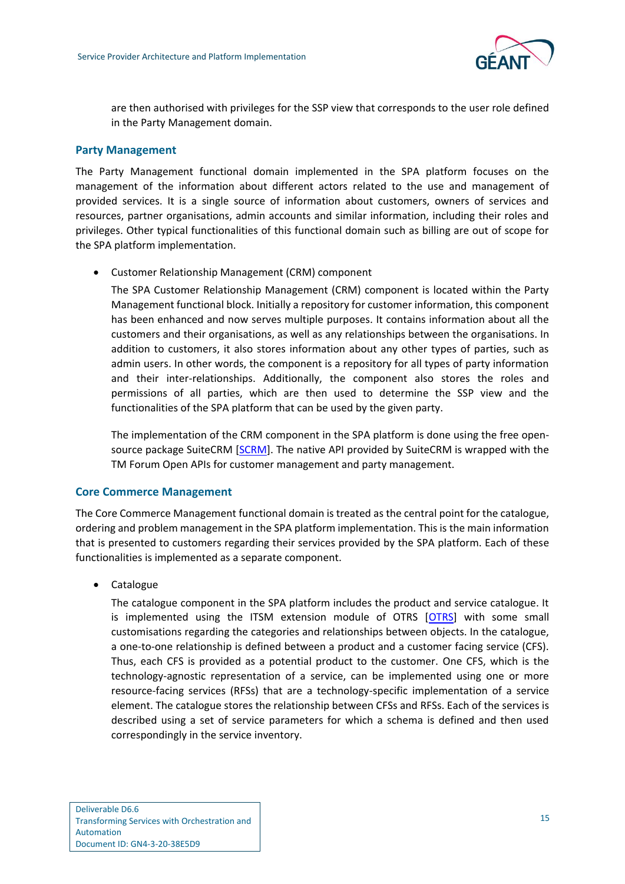

are then authorised with privileges for the SSP view that corresponds to the user role defined in the Party Management domain.

#### **Party Management**

The Party Management functional domain implemented in the SPA platform focuses on the management of the information about different actors related to the use and management of provided services. It is a single source of information about customers, owners of services and resources, partner organisations, admin accounts and similar information, including their roles and privileges. Other typical functionalities of this functional domain such as billing are out of scope for the SPA platform implementation.

• Customer Relationship Management (CRM) component

The SPA Customer Relationship Management (CRM) component is located within the Party Management functional block. Initially a repository for customer information, this component has been enhanced and now serves multiple purposes. It contains information about all the customers and their organisations, as well as any relationships between the organisations. In addition to customers, it also stores information about any other types of parties, such as admin users. In other words, the component is a repository for all types of party information and their inter-relationships. Additionally, the component also stores the roles and permissions of all parties, which are then used to determine the SSP view and the functionalities of the SPA platform that can be used by the given party.

The implementation of the CRM component in the SPA platform is done using the free opensource package SuiteCRM [\[SCRM\]](#page-26-18). The native API provided by SuiteCRM is wrapped with the TM Forum Open APIs for customer management and party management.

#### **Core Commerce Management**

The Core Commerce Management functional domain is treated as the central point for the catalogue, ordering and problem management in the SPA platform implementation. This is the main information that is presented to customers regarding their services provided by the SPA platform. Each of these functionalities is implemented as a separate component.

• Catalogue

The catalogue component in the SPA platform includes the product and service catalogue. It is implemented using the ITSM extension module of OTRS [\[OTRS\]](#page-26-19) with some small customisations regarding the categories and relationships between objects. In the catalogue, a one-to-one relationship is defined between a product and a customer facing service (CFS). Thus, each CFS is provided as a potential product to the customer. One CFS, which is the technology-agnostic representation of a service, can be implemented using one or more resource-facing services (RFSs) that are a technology-specific implementation of a service element. The catalogue stores the relationship between CFSs and RFSs. Each of the services is described using a set of service parameters for which a schema is defined and then used correspondingly in the service inventory.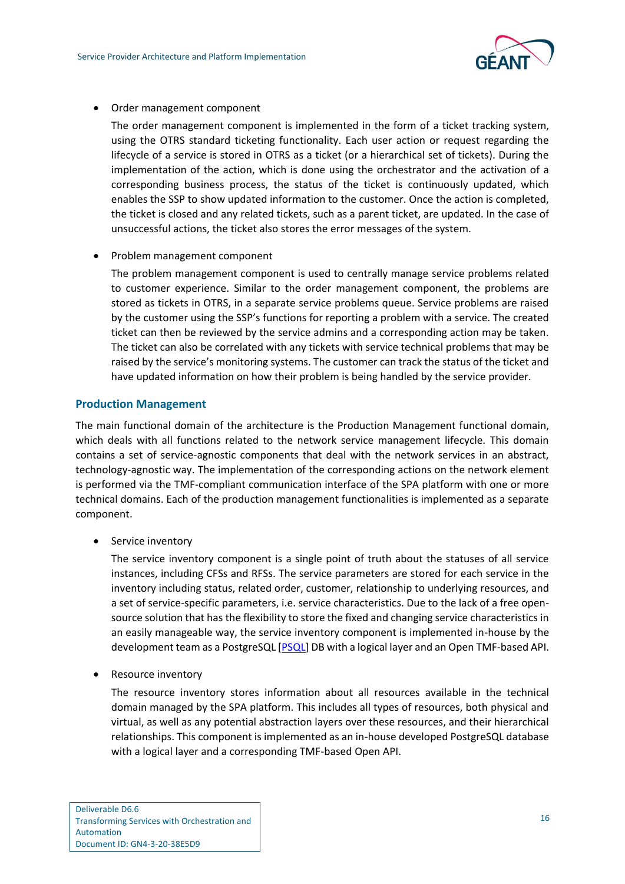

• Order management component

The order management component is implemented in the form of a ticket tracking system, using the OTRS standard ticketing functionality. Each user action or request regarding the lifecycle of a service is stored in OTRS as a ticket (or a hierarchical set of tickets). During the implementation of the action, which is done using the orchestrator and the activation of a corresponding business process, the status of the ticket is continuously updated, which enables the SSP to show updated information to the customer. Once the action is completed, the ticket is closed and any related tickets, such as a parent ticket, are updated. In the case of unsuccessful actions, the ticket also stores the error messages of the system.

• Problem management component

The problem management component is used to centrally manage service problems related to customer experience. Similar to the order management component, the problems are stored as tickets in OTRS, in a separate service problems queue. Service problems are raised by the customer using the SSP's functions for reporting a problem with a service. The created ticket can then be reviewed by the service admins and a corresponding action may be taken. The ticket can also be correlated with any tickets with service technical problems that may be raised by the service's monitoring systems. The customer can track the status of the ticket and have updated information on how their problem is being handled by the service provider.

#### **Production Management**

The main functional domain of the architecture is the Production Management functional domain, which deals with all functions related to the network service management lifecycle. This domain contains a set of service-agnostic components that deal with the network services in an abstract, technology-agnostic way. The implementation of the corresponding actions on the network element is performed via the TMF-compliant communication interface of the SPA platform with one or more technical domains. Each of the production management functionalities is implemented as a separate component.

• Service inventory

The service inventory component is a single point of truth about the statuses of all service instances, including CFSs and RFSs. The service parameters are stored for each service in the inventory including status, related order, customer, relationship to underlying resources, and a set of service-specific parameters, i.e. service characteristics. Due to the lack of a free opensource solution that has the flexibility to store the fixed and changing service characteristics in an easily manageable way, the service inventory component is implemented in-house by the development team as a PostgreSQL [\[PSQL\]](#page-26-20) DB with a logical layer and an Open TMF-based API.

• Resource inventory

The resource inventory stores information about all resources available in the technical domain managed by the SPA platform. This includes all types of resources, both physical and virtual, as well as any potential abstraction layers over these resources, and their hierarchical relationships. This component is implemented as an in-house developed PostgreSQL database with a logical layer and a corresponding TMF-based Open API.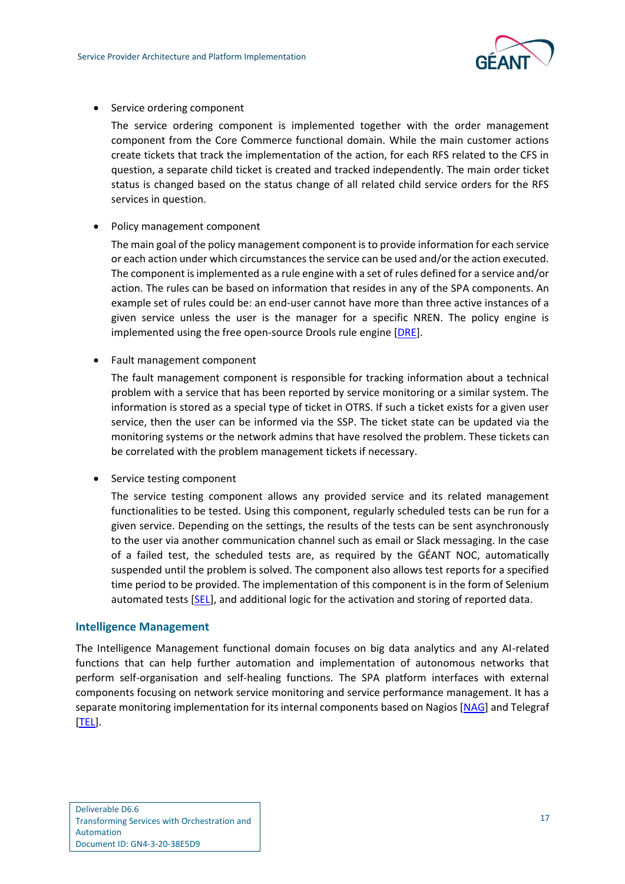

• Service ordering component

The service ordering component is implemented together with the order management component from the Core Commerce functional domain. While the main customer actions create tickets that track the implementation of the action, for each RFS related to the CFS in question, a separate child ticket is created and tracked independently. The main order ticket status is changed based on the status change of all related child service orders for the RFS services in question.

• Policy management component

The main goal of the policy management component is to provide information for each service or each action under which circumstances the service can be used and/or the action executed. The component is implemented as a rule engine with a set of rules defined for a service and/or action. The rules can be based on information that resides in any of the SPA components. An example set of rules could be: an end-user cannot have more than three active instances of a given service unless the user is the manager for a specific NREN. The policy engine is implemented using the free open-source Drools rule engine [\[DRE\]](#page-25-20).

• Fault management component

The fault management component is responsible for tracking information about a technical problem with a service that has been reported by service monitoring or a similar system. The information is stored as a special type of ticket in OTRS. If such a ticket exists for a given user service, then the user can be informed via the SSP. The ticket state can be updated via the monitoring systems or the network admins that have resolved the problem. These tickets can be correlated with the problem management tickets if necessary.

• Service testing component

The service testing component allows any provided service and its related management functionalities to be tested. Using this component, regularly scheduled tests can be run for a given service. Depending on the settings, the results of the tests can be sent asynchronously to the user via another communication channel such as email or Slack messaging. In the case of a failed test, the scheduled tests are, as required by the GÉANT NOC, automatically suspended until the problem is solved. The component also allows test reports for a specified time period to be provided. The implementation of this component is in the form of Selenium automated tests [\[SEL\]](#page-26-21), and additional logic for the activation and storing of reported data.

#### **Intelligence Management**

The Intelligence Management functional domain focuses on big data analytics and any AI-related functions that can help further automation and implementation of autonomous networks that perform self-organisation and self-healing functions. The SPA platform interfaces with external components focusing on network service monitoring and service performance management. It has a separate monitoring implementation for its internal components based on Nagios [\[NAG\]](#page-26-22) and Telegraf [\[TEL\]](#page-27-4).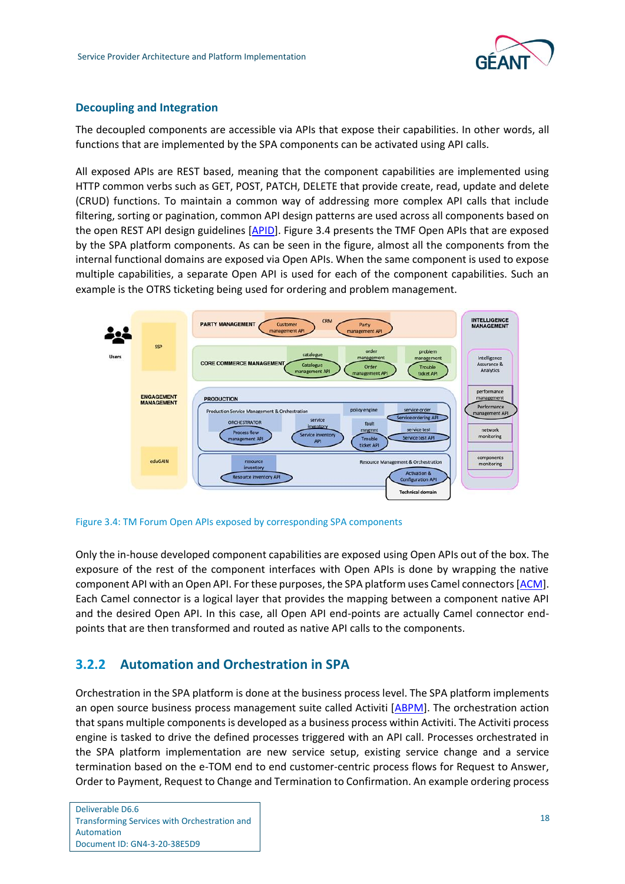

#### **Decoupling and Integration**

The decoupled components are accessible via APIs that expose their capabilities. In other words, all functions that are implemented by the SPA components can be activated using API calls.

All exposed APIs are REST based, meaning that the component capabilities are implemented using HTTP common verbs such as GET, POST, PATCH, DELETE that provide create, read, update and delete (CRUD) functions. To maintain a common way of addressing more complex API calls that include filtering, sorting or pagination, common API design patterns are used across all components based on the open REST API design guidelines [\[APID\]](#page-25-21). [Figure 3.4](#page-19-1) presents the TMF Open APIs that are exposed by the SPA platform components. As can be seen in the figure, almost all the components from the internal functional domains are exposed via Open APIs. When the same component is used to expose multiple capabilities, a separate Open API is used for each of the component capabilities. Such an example is the OTRS ticketing being used for ordering and problem management.



<span id="page-19-1"></span>Figure 3.4: TM Forum Open APIs exposed by corresponding SPA components

Only the in-house developed component capabilities are exposed using Open APIs out of the box. The exposure of the rest of the component interfaces with Open APIs is done by wrapping the native component API with an Open API. For these purposes, the SPA platform uses Camel connectors [\[ACM\]](#page-25-22). Each Camel connector is a logical layer that provides the mapping between a component native API and the desired Open API. In this case, all Open API end-points are actually Camel connector endpoints that are then transformed and routed as native API calls to the components.

### <span id="page-19-0"></span>**3.2.2 Automation and Orchestration in SPA**

Orchestration in the SPA platform is done at the business process level. The SPA platform implements an open source business process management suite called Activiti [\[ABPM\]](#page-25-23). The orchestration action that spans multiple components is developed as a business process within Activiti. The Activiti process engine is tasked to drive the defined processes triggered with an API call. Processes orchestrated in the SPA platform implementation are new service setup, existing service change and a service termination based on the e-TOM end to end customer-centric process flows for Request to Answer, Order to Payment, Request to Change and Termination to Confirmation. An example ordering process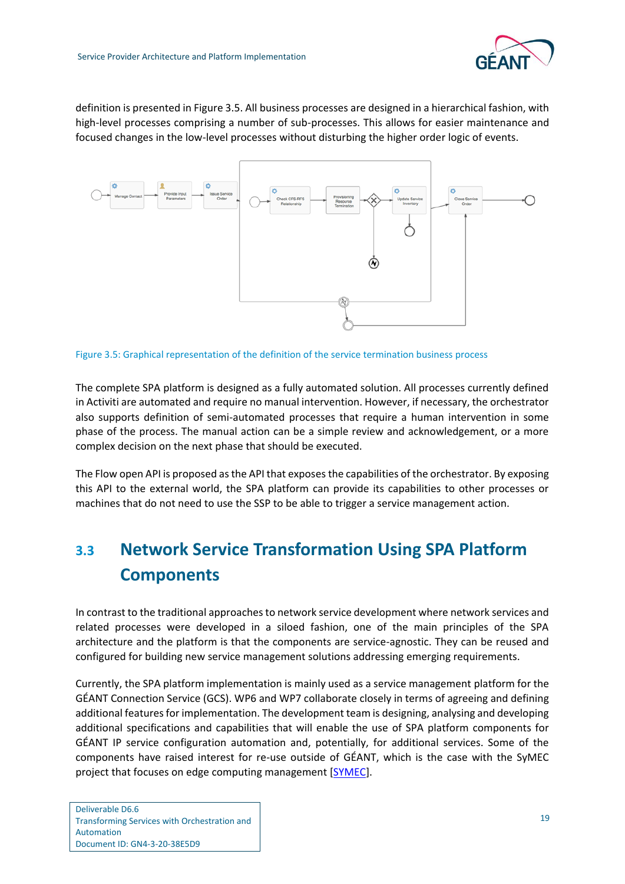

definition is presented in [Figure 3.5.](#page-20-1) All business processes are designed in a hierarchical fashion, with high-level processes comprising a number of sub-processes. This allows for easier maintenance and focused changes in the low-level processes without disturbing the higher order logic of events.



<span id="page-20-1"></span>Figure 3.5: Graphical representation of the definition of the service termination business process

The complete SPA platform is designed as a fully automated solution. All processes currently defined in Activiti are automated and require no manual intervention. However, if necessary, the orchestrator also supports definition of semi-automated processes that require a human intervention in some phase of the process. The manual action can be a simple review and acknowledgement, or a more complex decision on the next phase that should be executed.

The Flow open API is proposed as the API that exposes the capabilities of the orchestrator. By exposing this API to the external world, the SPA platform can provide its capabilities to other processes or machines that do not need to use the SSP to be able to trigger a service management action.

## <span id="page-20-0"></span>**3.3 Network Service Transformation Using SPA Platform Components**

In contrast to the traditional approaches to network service development where network services and related processes were developed in a siloed fashion, one of the main principles of the SPA architecture and the platform is that the components are service-agnostic. They can be reused and configured for building new service management solutions addressing emerging requirements.

Currently, the SPA platform implementation is mainly used as a service management platform for the GÉANT Connection Service (GCS). WP6 and WP7 collaborate closely in terms of agreeing and defining additional features for implementation. The development team is designing, analysing and developing additional specifications and capabilities that will enable the use of SPA platform components for GÉANT IP service configuration automation and, potentially, for additional services. Some of the components have raised interest for re-use outside of GÉANT, which is the case with the SyMEC project that focuses on edge computing management [\[SYMEC\]](#page-26-23).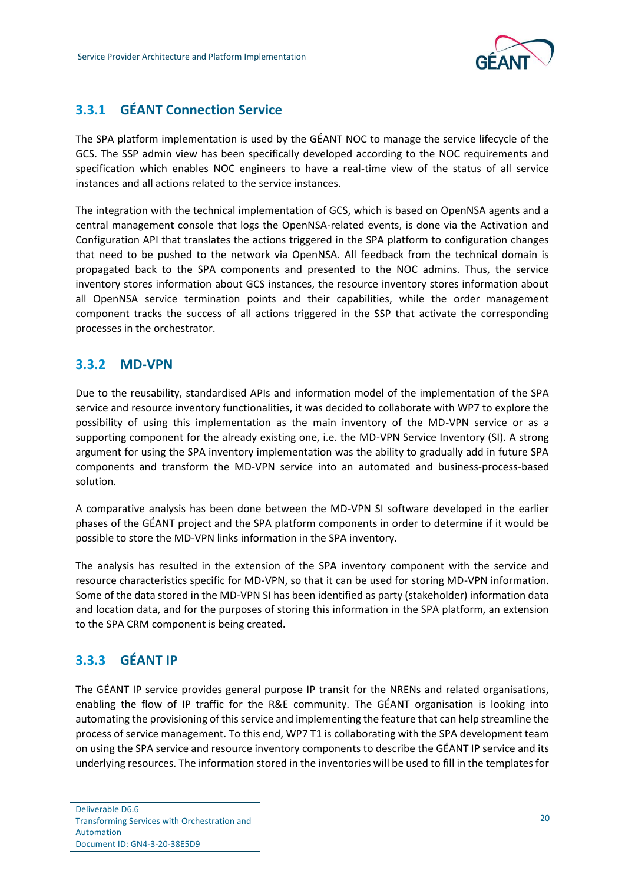

### <span id="page-21-0"></span>**3.3.1 GÉANT Connection Service**

The SPA platform implementation is used by the GÉANT NOC to manage the service lifecycle of the GCS. The SSP admin view has been specifically developed according to the NOC requirements and specification which enables NOC engineers to have a real-time view of the status of all service instances and all actions related to the service instances.

The integration with the technical implementation of GCS, which is based on OpenNSA agents and a central management console that logs the OpenNSA-related events, is done via the Activation and Configuration API that translates the actions triggered in the SPA platform to configuration changes that need to be pushed to the network via OpenNSA. All feedback from the technical domain is propagated back to the SPA components and presented to the NOC admins. Thus, the service inventory stores information about GCS instances, the resource inventory stores information about all OpenNSA service termination points and their capabilities, while the order management component tracks the success of all actions triggered in the SSP that activate the corresponding processes in the orchestrator.

### <span id="page-21-1"></span>**3.3.2 MD-VPN**

Due to the reusability, standardised APIs and information model of the implementation of the SPA service and resource inventory functionalities, it was decided to collaborate with WP7 to explore the possibility of using this implementation as the main inventory of the MD-VPN service or as a supporting component for the already existing one, i.e. the MD-VPN Service Inventory (SI). A strong argument for using the SPA inventory implementation was the ability to gradually add in future SPA components and transform the MD-VPN service into an automated and business-process-based solution.

A comparative analysis has been done between the MD-VPN SI software developed in the earlier phases of the GÉANT project and the SPA platform components in order to determine if it would be possible to store the MD-VPN links information in the SPA inventory.

The analysis has resulted in the extension of the SPA inventory component with the service and resource characteristics specific for MD-VPN, so that it can be used for storing MD-VPN information. Some of the data stored in the MD-VPN SI has been identified as party (stakeholder) information data and location data, and for the purposes of storing this information in the SPA platform, an extension to the SPA CRM component is being created.

### <span id="page-21-2"></span>**3.3.3 GÉANT IP**

The GÉANT IP service provides general purpose IP transit for the NRENs and related organisations, enabling the flow of IP traffic for the R&E community. The GÉANT organisation is looking into automating the provisioning of this service and implementing the feature that can help streamline the process of service management. To this end, WP7 T1 is collaborating with the SPA development team on using the SPA service and resource inventory components to describe the GÉANT IP service and its underlying resources. The information stored in the inventories will be used to fill in the templates for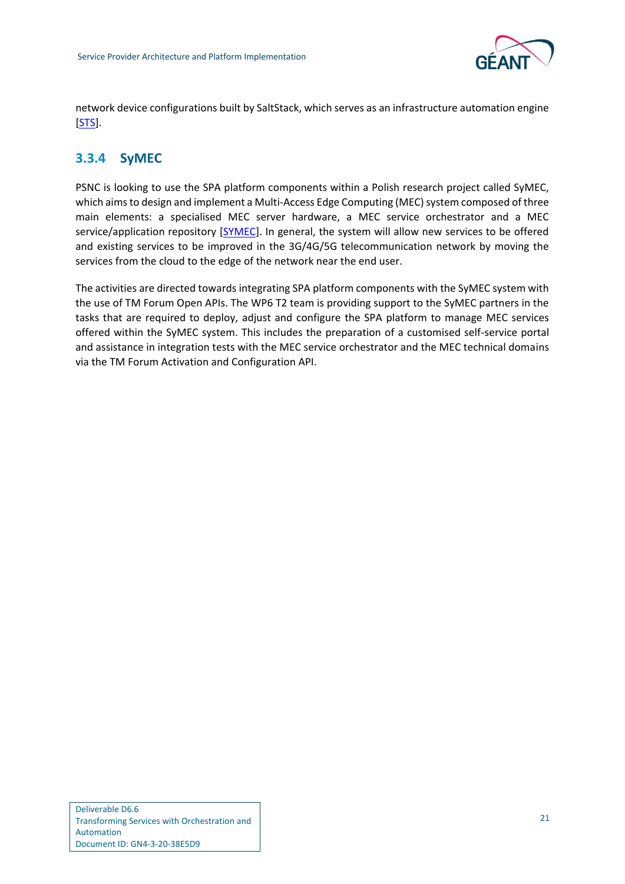

network device configurations built by SaltStack, which serves as an infrastructure automation engine [\[STS\]](#page-26-24).

### <span id="page-22-0"></span>**3.3.4 SyMEC**

PSNC is looking to use the SPA platform components within a Polish research project called SyMEC, which aims to design and implement a Multi-Access Edge Computing (MEC) system composed of three main elements: a specialised MEC server hardware, a MEC service orchestrator and a MEC service/application repository [\[SYMEC\]](#page-26-23). In general, the system will allow new services to be offered and existing services to be improved in the 3G/4G/5G telecommunication network by moving the services from the cloud to the edge of the network near the end user.

The activities are directed towards integrating SPA platform components with the SyMEC system with the use of TM Forum Open APIs. The WP6 T2 team is providing support to the SyMEC partners in the tasks that are required to deploy, adjust and configure the SPA platform to manage MEC services offered within the SyMEC system. This includes the preparation of a customised self-service portal and assistance in integration tests with the MEC service orchestrator and the MEC technical domains via the TM Forum Activation and Configuration API.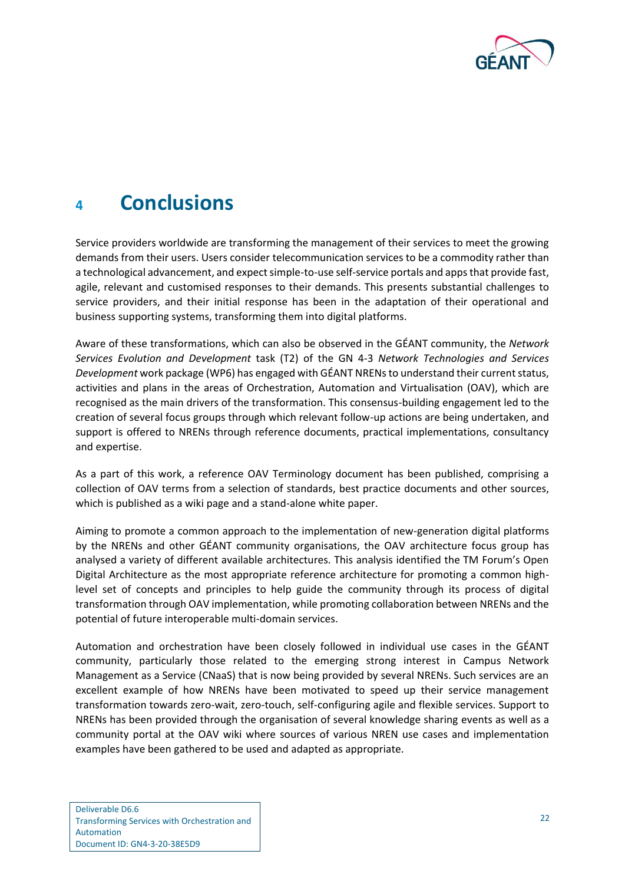

## <span id="page-23-0"></span>**<sup>4</sup> Conclusions**

Service providers worldwide are transforming the management of their services to meet the growing demands from their users. Users consider telecommunication services to be a commodity rather than a technological advancement, and expect simple-to-use self-service portals and apps that provide fast, agile, relevant and customised responses to their demands. This presents substantial challenges to service providers, and their initial response has been in the adaptation of their operational and business supporting systems, transforming them into digital platforms.

Aware of these transformations, which can also be observed in the GÉANT community, the *Network Services Evolution and Development* task (T2) of the GN 4-3 *Network Technologies and Services Development* work package (WP6) has engaged with GÉANT NRENs to understand their current status, activities and plans in the areas of Orchestration, Automation and Virtualisation (OAV), which are recognised as the main drivers of the transformation. This consensus-building engagement led to the creation of several focus groups through which relevant follow-up actions are being undertaken, and support is offered to NRENs through reference documents, practical implementations, consultancy and expertise.

As a part of this work, a reference OAV Terminology document has been published, comprising a collection of OAV terms from a selection of standards, best practice documents and other sources, which is published as a wiki page and a stand-alone white paper.

Aiming to promote a common approach to the implementation of new-generation digital platforms by the NRENs and other GÉANT community organisations, the OAV architecture focus group has analysed a variety of different available architectures. This analysis identified the TM Forum's Open Digital Architecture as the most appropriate reference architecture for promoting a common highlevel set of concepts and principles to help guide the community through its process of digital transformation through OAV implementation, while promoting collaboration between NRENs and the potential of future interoperable multi-domain services.

Automation and orchestration have been closely followed in individual use cases in the GÉANT community, particularly those related to the emerging strong interest in Campus Network Management as a Service (CNaaS) that is now being provided by several NRENs. Such services are an excellent example of how NRENs have been motivated to speed up their service management transformation towards zero-wait, zero-touch, self-configuring agile and flexible services. Support to NRENs has been provided through the organisation of several knowledge sharing events as well as a community portal at the OAV wiki where sources of various NREN use cases and implementation examples have been gathered to be used and adapted as appropriate.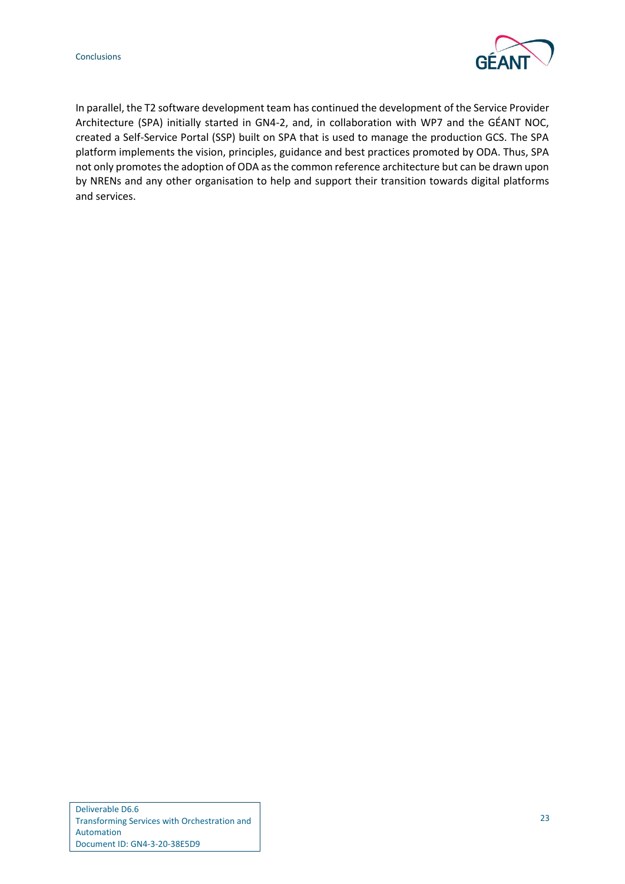

In parallel, the T2 software development team has continued the development of the Service Provider Architecture (SPA) initially started in GN4-2, and, in collaboration with WP7 and the GÉANT NOC, created a Self-Service Portal (SSP) built on SPA that is used to manage the production GCS. The SPA platform implements the vision, principles, guidance and best practices promoted by ODA. Thus, SPA not only promotes the adoption of ODA as the common reference architecture but can be drawn upon by NRENs and any other organisation to help and support their transition towards digital platforms and services.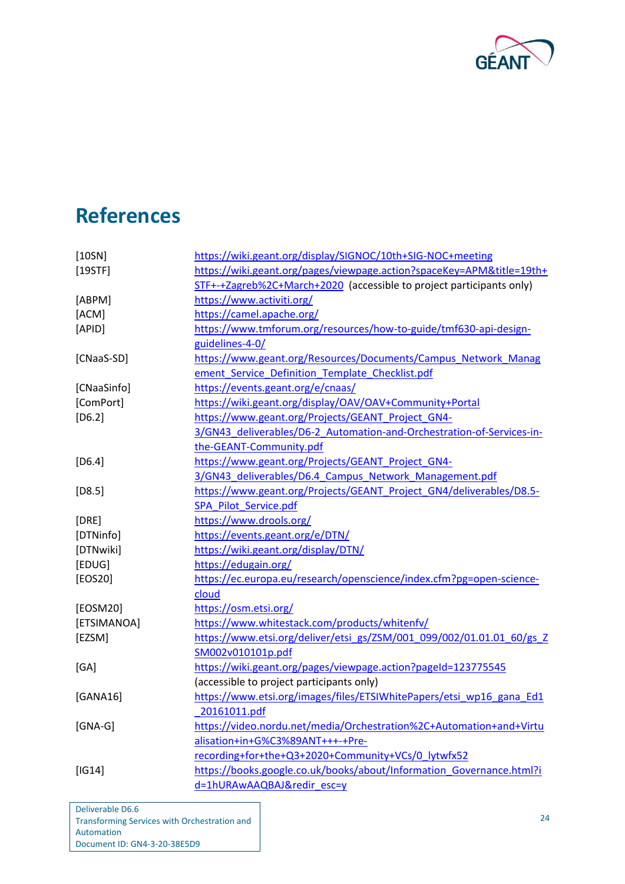

# <span id="page-25-0"></span>**References**

<span id="page-25-23"></span><span id="page-25-22"></span><span id="page-25-21"></span><span id="page-25-20"></span><span id="page-25-19"></span><span id="page-25-18"></span><span id="page-25-17"></span><span id="page-25-16"></span><span id="page-25-15"></span><span id="page-25-14"></span><span id="page-25-13"></span><span id="page-25-12"></span><span id="page-25-11"></span><span id="page-25-10"></span><span id="page-25-9"></span><span id="page-25-8"></span><span id="page-25-7"></span><span id="page-25-6"></span><span id="page-25-5"></span><span id="page-25-4"></span><span id="page-25-3"></span><span id="page-25-2"></span><span id="page-25-1"></span>

| [10SN]      | https://wiki.geant.org/display/SIGNOC/10th+SIG-NOC+meeting            |
|-------------|-----------------------------------------------------------------------|
| [19STF]     | https://wiki.geant.org/pages/viewpage.action?spaceKey=APM&title=19th+ |
|             | STF+-+Zagreb%2C+March+2020 (accessible to project participants only)  |
| [ABPM]      | https://www.activiti.org/                                             |
| [ACM]       | https://camel.apache.org/                                             |
| [APID]      | https://www.tmforum.org/resources/how-to-guide/tmf630-api-design-     |
|             | guidelines-4-0/                                                       |
| [CNaaS-SD]  | https://www.geant.org/Resources/Documents/Campus Network Manag        |
|             | ement Service Definition Template Checklist.pdf                       |
| [CNaaSinfo] | https://events.geant.org/e/cnaas/                                     |
| [ComPort]   | https://wiki.geant.org/display/OAV/OAV+Community+Portal               |
| $[D6.2]$    | https://www.geant.org/Projects/GEANT Project GN4-                     |
|             | 3/GN43_deliverables/D6-2_Automation-and-Orchestration-of-Services-in- |
|             | the-GEANT-Community.pdf                                               |
| $[D6.4]$    | https://www.geant.org/Projects/GEANT Project GN4-                     |
|             | 3/GN43_deliverables/D6.4_Campus_Network_Management.pdf                |
| $[D8.5]$    | https://www.geant.org/Projects/GEANT Project GN4/deliverables/D8.5-   |
|             | SPA_Pilot_Service.pdf                                                 |
| [DRE]       | https://www.drools.org/                                               |
| [DTNinfo]   | https://events.geant.org/e/DTN/                                       |
| [DTNwiki]   | https://wiki.geant.org/display/DTN/                                   |
| [EDUG]      | https://edugain.org/                                                  |
| [EOS20]     | https://ec.europa.eu/research/openscience/index.cfm?pg=open-science-  |
|             | cloud                                                                 |
| [EOSM20]    | https://osm.etsi.org/                                                 |
| [ETSIMANOA] | https://www.whitestack.com/products/whitenfv/                         |
| [EZSM]      | https://www.etsi.org/deliver/etsi_gs/ZSM/001_099/002/01.01.01_60/gs_Z |
|             | SM002v010101p.pdf                                                     |
| [GA]        | https://wiki.geant.org/pages/viewpage.action?pageId=123775545         |
|             | (accessible to project participants only)                             |
| [GANA16]    | https://www.etsi.org/images/files/ETSIWhitePapers/etsi wp16 gana Ed1  |
|             | 20161011.pdf                                                          |
| $[GNA-G]$   | https://video.nordu.net/media/Orchestration%2C+Automation+and+Virtu   |
|             | alisation+in+G%C3%89ANT+++-+Pre-                                      |
|             | recording+for+the+Q3+2020+Community+VCs/0 lytwfx52                    |
| [IG14]      | https://books.google.co.uk/books/about/Information Governance.html?i  |
|             | d=1hURAwAAQBAJ&redir esc=y                                            |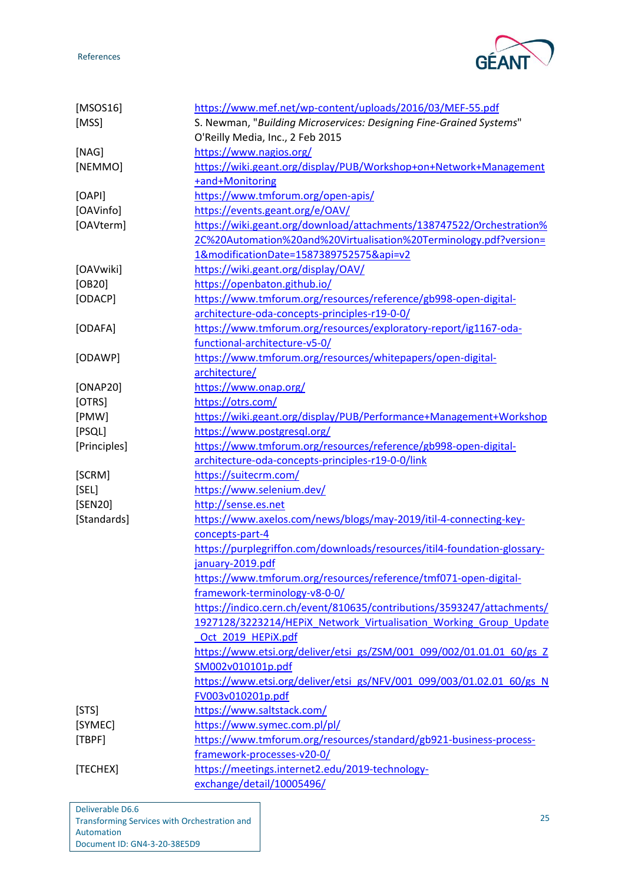



<span id="page-26-22"></span><span id="page-26-20"></span><span id="page-26-19"></span><span id="page-26-17"></span><span id="page-26-16"></span><span id="page-26-14"></span><span id="page-26-13"></span><span id="page-26-12"></span><span id="page-26-11"></span><span id="page-26-9"></span><span id="page-26-8"></span><span id="page-26-7"></span><span id="page-26-6"></span><span id="page-26-4"></span><span id="page-26-3"></span><span id="page-26-1"></span><span id="page-26-0"></span>

| [MSOS16]     | https://www.mef.net/wp-content/uploads/2016/03/MEF-55.pdf                |  |  |  |  |  |
|--------------|--------------------------------------------------------------------------|--|--|--|--|--|
| [MSS]        | S. Newman, "Building Microservices: Designing Fine-Grained Systems"      |  |  |  |  |  |
|              | O'Reilly Media, Inc., 2 Feb 2015                                         |  |  |  |  |  |
| [NAG]        | https://www.nagios.org/                                                  |  |  |  |  |  |
| [NEMMO]      | https://wiki.geant.org/display/PUB/Workshop+on+Network+Management        |  |  |  |  |  |
|              | +and+Monitoring                                                          |  |  |  |  |  |
| [OAPI]       | https://www.tmforum.org/open-apis/                                       |  |  |  |  |  |
| [OAVinfo]    | https://events.geant.org/e/OAV/                                          |  |  |  |  |  |
| [OAVterm]    | https://wiki.geant.org/download/attachments/138747522/Orchestration%     |  |  |  |  |  |
|              | 2C%20Automation%20and%20Virtualisation%20Terminology.pdf?version=        |  |  |  |  |  |
|              | 1&modificationDate=1587389752575&api=v2                                  |  |  |  |  |  |
| [OAVwiki]    | https://wiki.geant.org/display/OAV/                                      |  |  |  |  |  |
| [OB20]       | https://openbaton.github.io/                                             |  |  |  |  |  |
| [ODACP]      | https://www.tmforum.org/resources/reference/gb998-open-digital-          |  |  |  |  |  |
|              | architecture-oda-concepts-principles-r19-0-0/                            |  |  |  |  |  |
| [ODAFA]      | https://www.tmforum.org/resources/exploratory-report/ig1167-oda-         |  |  |  |  |  |
|              | functional-architecture-v5-0/                                            |  |  |  |  |  |
| [ODAWP]      | https://www.tmforum.org/resources/whitepapers/open-digital-              |  |  |  |  |  |
|              | architecture/                                                            |  |  |  |  |  |
| [ONAP20]     | https://www.onap.org/                                                    |  |  |  |  |  |
| [OTRS]       | https://otrs.com/                                                        |  |  |  |  |  |
| [PMW]        | https://wiki.geant.org/display/PUB/Performance+Management+Workshop       |  |  |  |  |  |
| [PSQL]       | https://www.postgresql.org/                                              |  |  |  |  |  |
| [Principles] | https://www.tmforum.org/resources/reference/gb998-open-digital-          |  |  |  |  |  |
|              | architecture-oda-concepts-principles-r19-0-0/link                        |  |  |  |  |  |
| [SCRM]       | https://suitecrm.com/                                                    |  |  |  |  |  |
| [SEL]        | https://www.selenium.dev/                                                |  |  |  |  |  |
| [SEN20]      | http://sense.es.net                                                      |  |  |  |  |  |
| [Standards]  | https://www.axelos.com/news/blogs/may-2019/itil-4-connecting-key-        |  |  |  |  |  |
|              | concepts-part-4                                                          |  |  |  |  |  |
|              | https://purplegriffon.com/downloads/resources/itil4-foundation-glossary- |  |  |  |  |  |
|              | january-2019.pdf                                                         |  |  |  |  |  |
|              | https://www.tmforum.org/resources/reference/tmf071-open-digital-         |  |  |  |  |  |
|              | framework-terminology-v8-0-0/                                            |  |  |  |  |  |
|              | https://indico.cern.ch/event/810635/contributions/3593247/attachments/   |  |  |  |  |  |
|              | 1927128/3223214/HEPIX Network Virtualisation Working Group Update        |  |  |  |  |  |
|              | Oct 2019 HEPiX.pdf                                                       |  |  |  |  |  |
|              | https://www.etsi.org/deliver/etsi_gs/ZSM/001_099/002/01.01.01_60/gs_Z    |  |  |  |  |  |
|              | SM002v010101p.pdf                                                        |  |  |  |  |  |
|              | https://www.etsi.org/deliver/etsi_gs/NFV/001_099/003/01.02.01_60/gs_N    |  |  |  |  |  |
|              | FV003v010201p.pdf                                                        |  |  |  |  |  |
| [STS]        | https://www.saltstack.com/                                               |  |  |  |  |  |
| [SYMEC]      | https://www.symec.com.pl/pl/                                             |  |  |  |  |  |
| [TBPF]       | https://www.tmforum.org/resources/standard/gb921-business-process-       |  |  |  |  |  |
|              | framework-processes-v20-0/                                               |  |  |  |  |  |
| [TECHEX]     | https://meetings.internet2.edu/2019-technology-                          |  |  |  |  |  |
|              | exchange/detail/10005496/                                                |  |  |  |  |  |

<span id="page-26-24"></span><span id="page-26-23"></span><span id="page-26-21"></span><span id="page-26-18"></span><span id="page-26-15"></span><span id="page-26-10"></span><span id="page-26-5"></span><span id="page-26-2"></span>Deliverable D6.6 Transforming Services with Orchestration and Automation Document ID: GN4-3-20-38E5D9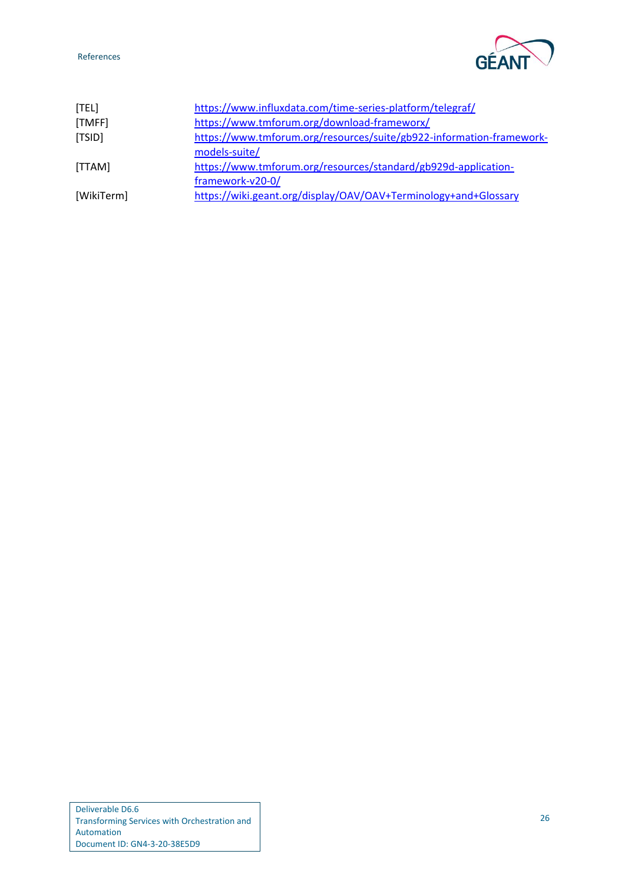#### References



<span id="page-27-4"></span><span id="page-27-3"></span><span id="page-27-2"></span><span id="page-27-1"></span><span id="page-27-0"></span>

| [TEL]      | https://www.influxdata.com/time-series-platform/telegraf/            |
|------------|----------------------------------------------------------------------|
| [TMFF]     | https://www.tmforum.org/download-frameworx/                          |
| [TSID]     | https://www.tmforum.org/resources/suite/gb922-information-framework- |
|            | models-suite/                                                        |
| [TTAM]     | https://www.tmforum.org/resources/standard/gb929d-application-       |
|            | framework-v20-0/                                                     |
| [WikiTerm] | https://wiki.geant.org/display/OAV/OAV+Terminology+and+Glossary      |